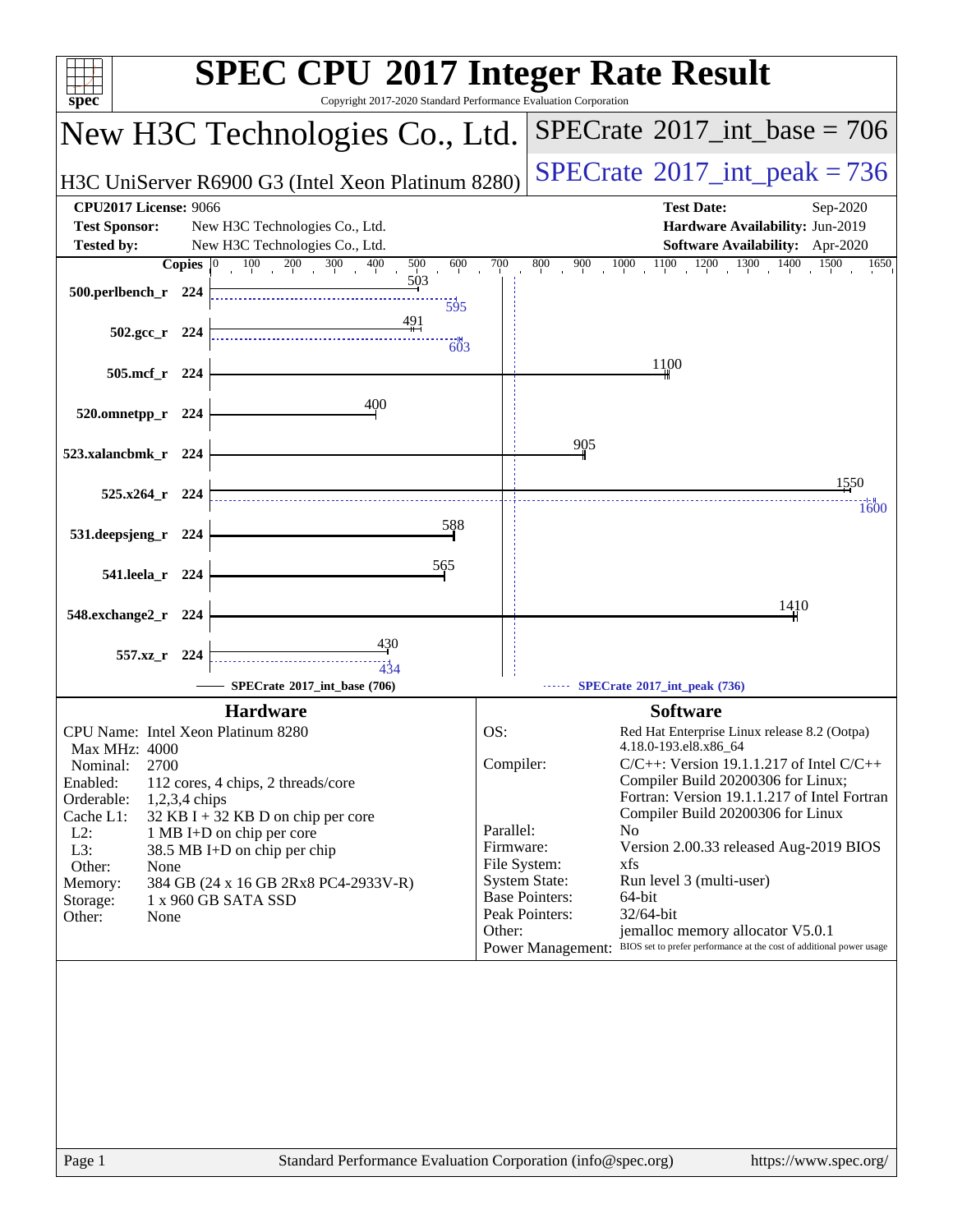| spec <sup>®</sup>                         | <b>SPEC CPU®2017 Integer Rate Result</b><br>Copyright 2017-2020 Standard Performance Evaluation Corporation |                        |                                                                                        |
|-------------------------------------------|-------------------------------------------------------------------------------------------------------------|------------------------|----------------------------------------------------------------------------------------|
|                                           | New H3C Technologies Co., Ltd.                                                                              |                        | $SPECTate@2017_int\_base = 706$                                                        |
|                                           | H3C UniServer R6900 G3 (Intel Xeon Platinum 8280)                                                           |                        | $SPECrate^{\circ}2017\_int\_peak = 736$                                                |
| <b>CPU2017 License: 9066</b>              |                                                                                                             |                        | <b>Test Date:</b><br>Sep-2020                                                          |
| <b>Test Sponsor:</b>                      | New H3C Technologies Co., Ltd.                                                                              |                        | Hardware Availability: Jun-2019                                                        |
| <b>Tested by:</b><br><b>Copies</b>        | New H3C Technologies Co., Ltd.<br>400<br>600                                                                | 700                    | Software Availability: Apr-2020<br>1500<br>800<br>1650                                 |
|                                           | $100 \t 200 \t 300$<br>$500\,$<br>503                                                                       |                        | $1000$ $1100$ $1200$ $1300$ $1400$<br>900                                              |
| 500.perlbench_r 224                       | 595                                                                                                         |                        |                                                                                        |
|                                           | 491                                                                                                         |                        |                                                                                        |
| $502.\text{gcc r}$ 224                    | $-603$                                                                                                      |                        |                                                                                        |
| 505.mcf_r 224                             |                                                                                                             |                        | 1100                                                                                   |
|                                           |                                                                                                             |                        |                                                                                        |
| 520.omnetpp_r 224                         | 400                                                                                                         |                        |                                                                                        |
|                                           |                                                                                                             |                        |                                                                                        |
| 523.xalancbmk_r 224                       |                                                                                                             |                        | 905                                                                                    |
|                                           |                                                                                                             |                        | 1550                                                                                   |
| $525.x264$ r 224                          |                                                                                                             |                        | 1600                                                                                   |
|                                           | 588                                                                                                         |                        |                                                                                        |
| 531.deepsjeng_r<br>224                    |                                                                                                             |                        |                                                                                        |
| 541.leela_r 224                           | 565                                                                                                         |                        |                                                                                        |
|                                           |                                                                                                             |                        |                                                                                        |
| 548.exchange2_r 224                       |                                                                                                             |                        | 1410                                                                                   |
|                                           | 430                                                                                                         |                        |                                                                                        |
| 557.xz_r 224                              | <br>434                                                                                                     |                        |                                                                                        |
|                                           | SPECrate®2017_int_base (706)                                                                                |                        | SPECrate®2017_int_peak (736)                                                           |
|                                           | <b>Hardware</b>                                                                                             |                        | <b>Software</b>                                                                        |
| CPU Name: Intel Xeon Platinum 8280        |                                                                                                             | OS:                    | Red Hat Enterprise Linux release 8.2 (Ootpa)                                           |
| <b>Max MHz: 4000</b>                      |                                                                                                             |                        | 4.18.0-193.el8.x86 64                                                                  |
| 2700<br>Nominal:                          |                                                                                                             | Compiler:              | $C/C++$ : Version 19.1.1.217 of Intel $C/C++$<br>Compiler Build 20200306 for Linux;    |
| Enabled:<br>Orderable:<br>$1,2,3,4$ chips | 112 cores, 4 chips, 2 threads/core                                                                          |                        | Fortran: Version 19.1.1.217 of Intel Fortran                                           |
| Cache L1:                                 | $32$ KB I + 32 KB D on chip per core                                                                        |                        | Compiler Build 20200306 for Linux                                                      |
| $L2$ :                                    | 1 MB I+D on chip per core                                                                                   | Parallel:<br>Firmware: | N <sub>0</sub><br>Version 2.00.33 released Aug-2019 BIOS                               |
| $L3$ :<br>Other:<br>None                  | 38.5 MB I+D on chip per chip                                                                                |                        | File System:<br>xfs                                                                    |
| Memory:                                   | 384 GB (24 x 16 GB 2Rx8 PC4-2933V-R)                                                                        |                        | <b>System State:</b><br>Run level 3 (multi-user)                                       |
| Storage:                                  | 1 x 960 GB SATA SSD                                                                                         |                        | <b>Base Pointers:</b><br>64-bit<br>Peak Pointers:<br>32/64-bit                         |
| Other:<br>None                            |                                                                                                             | Other:                 | jemalloc memory allocator V5.0.1                                                       |
|                                           |                                                                                                             |                        | Power Management: BIOS set to prefer performance at the cost of additional power usage |
|                                           |                                                                                                             |                        |                                                                                        |
|                                           |                                                                                                             |                        |                                                                                        |
|                                           |                                                                                                             |                        |                                                                                        |
|                                           |                                                                                                             |                        |                                                                                        |
|                                           |                                                                                                             |                        |                                                                                        |
|                                           |                                                                                                             |                        |                                                                                        |
|                                           |                                                                                                             |                        |                                                                                        |
|                                           |                                                                                                             |                        |                                                                                        |
|                                           |                                                                                                             |                        |                                                                                        |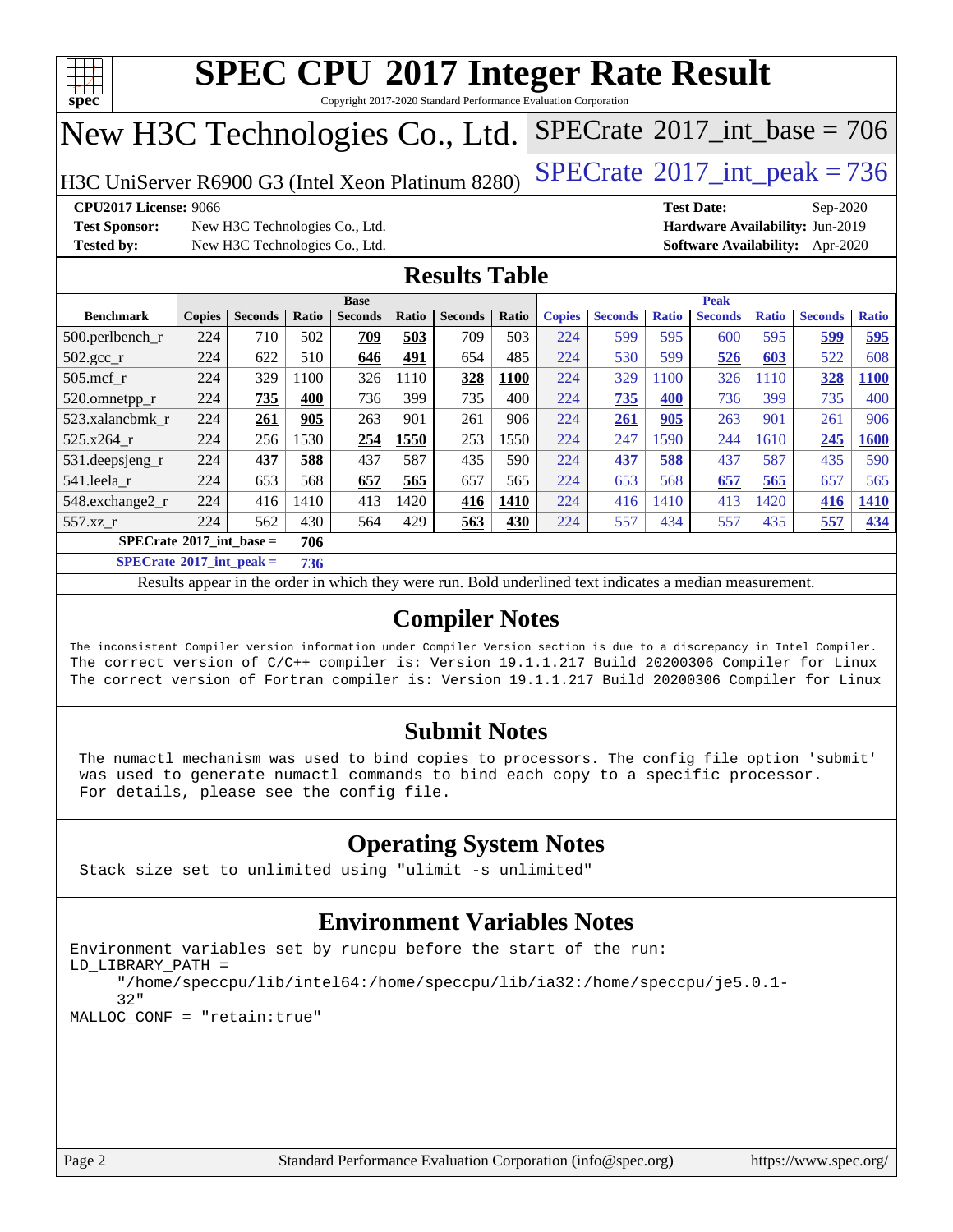

Copyright 2017-2020 Standard Performance Evaluation Corporation

## New H3C Technologies Co., Ltd.

H3C UniServer R6900 G3 (Intel Xeon Platinum  $8280$ ) [SPECrate](http://www.spec.org/auto/cpu2017/Docs/result-fields.html#SPECrate2017intpeak)<sup>®</sup>[2017\\_int\\_peak = 7](http://www.spec.org/auto/cpu2017/Docs/result-fields.html#SPECrate2017intpeak)36

 $SPECTate$ <sup>®</sup>[2017\\_int\\_base =](http://www.spec.org/auto/cpu2017/Docs/result-fields.html#SPECrate2017intbase) 706

**[CPU2017 License:](http://www.spec.org/auto/cpu2017/Docs/result-fields.html#CPU2017License)** 9066 **[Test Date:](http://www.spec.org/auto/cpu2017/Docs/result-fields.html#TestDate)** Sep-2020

**[Test Sponsor:](http://www.spec.org/auto/cpu2017/Docs/result-fields.html#TestSponsor)** New H3C Technologies Co., Ltd. **[Hardware Availability:](http://www.spec.org/auto/cpu2017/Docs/result-fields.html#HardwareAvailability)** Jun-2019 **[Tested by:](http://www.spec.org/auto/cpu2017/Docs/result-fields.html#Testedby)** New H3C Technologies Co., Ltd. **[Software Availability:](http://www.spec.org/auto/cpu2017/Docs/result-fields.html#SoftwareAvailability)** Apr-2020

### **[Results Table](http://www.spec.org/auto/cpu2017/Docs/result-fields.html#ResultsTable)**

|                                   |               |                |              | <b>Base</b>    |       |                |       |               |                |              | <b>Peak</b>    |              |                |              |
|-----------------------------------|---------------|----------------|--------------|----------------|-------|----------------|-------|---------------|----------------|--------------|----------------|--------------|----------------|--------------|
| <b>Benchmark</b>                  | <b>Copies</b> | <b>Seconds</b> | <b>Ratio</b> | <b>Seconds</b> | Ratio | <b>Seconds</b> | Ratio | <b>Copies</b> | <b>Seconds</b> | <b>Ratio</b> | <b>Seconds</b> | <b>Ratio</b> | <b>Seconds</b> | <b>Ratio</b> |
| $500.$ perlbench_r                | 224           | 710            | 502          | 709            | 503   | 709            | 503   | 224           | 599            | 595          | 600            | 595          | 599            | 595          |
| $502.\text{gcc\_r}$               | 224           | 622            | 510          | 646            | 491   | 654            | 485   | 224           | 530            | 599          | 526            | 603          | 522            | 608          |
| $505$ .mcf r                      | 224           | 329            | 1100         | 326            | 1110  | 328            | 1100  | 224           | 329            | 100          | 326            | 1110         | 328            | <b>1100</b>  |
| 520.omnetpp_r                     | 224           | 735            | 400          | 736            | 399   | 735            | 400   | 224           | 735            | 400          | 736            | 399          | 735            | 400          |
| 523.xalancbmk r                   | 224           | 261            | 905          | 263            | 901   | 261            | 906   | 224           | 261            | 905          | 263            | 901          | 261            | 906          |
| 525.x264 r                        | 224           | 256            | 1530         | 254            | 1550  | 253            | 1550  | 224           | 247            | 1590         | 244            | 1610         | 245            | 1600         |
| 531.deepsjeng_r                   | 224           | 437            | 588          | 437            | 587   | 435            | 590   | 224           | 437            | 588          | 437            | 587          | 435            | 590          |
| 541.leela r                       | 224           | 653            | 568          | 657            | 565   | 657            | 565   | 224           | 653            | 568          | 657            | 565          | 657            | 565          |
| 548.exchange2_r                   | 224           | 416            | 1410         | 413            | 1420  | 416            | 1410  | 224           | 416            | 1410         | 413            | 1420         | 416            | 1410         |
| 557.xz r                          | 224           | 562            | 430          | 564            | 429   | 563            | 430   | 224           | 557            | 434          | 557            | 435          | 557            | 434          |
| $SPECrate^{\circ}2017$ int base = |               |                | 706          |                |       |                |       |               |                |              |                |              |                |              |
| $C = C$                           |               |                | -- -         |                |       |                |       |               |                |              |                |              |                |              |

**[SPECrate](http://www.spec.org/auto/cpu2017/Docs/result-fields.html#SPECrate2017intpeak)[2017\\_int\\_peak =](http://www.spec.org/auto/cpu2017/Docs/result-fields.html#SPECrate2017intpeak) 736**

Results appear in the [order in which they were run](http://www.spec.org/auto/cpu2017/Docs/result-fields.html#RunOrder). Bold underlined text [indicates a median measurement](http://www.spec.org/auto/cpu2017/Docs/result-fields.html#Median).

### **[Compiler Notes](http://www.spec.org/auto/cpu2017/Docs/result-fields.html#CompilerNotes)**

The inconsistent Compiler version information under Compiler Version section is due to a discrepancy in Intel Compiler. The correct version of C/C++ compiler is: Version 19.1.1.217 Build 20200306 Compiler for Linux The correct version of Fortran compiler is: Version 19.1.1.217 Build 20200306 Compiler for Linux

### **[Submit Notes](http://www.spec.org/auto/cpu2017/Docs/result-fields.html#SubmitNotes)**

 The numactl mechanism was used to bind copies to processors. The config file option 'submit' was used to generate numactl commands to bind each copy to a specific processor. For details, please see the config file.

### **[Operating System Notes](http://www.spec.org/auto/cpu2017/Docs/result-fields.html#OperatingSystemNotes)**

Stack size set to unlimited using "ulimit -s unlimited"

### **[Environment Variables Notes](http://www.spec.org/auto/cpu2017/Docs/result-fields.html#EnvironmentVariablesNotes)**

```
Environment variables set by runcpu before the start of the run:
LD_LIBRARY_PATH =
      "/home/speccpu/lib/intel64:/home/speccpu/lib/ia32:/home/speccpu/je5.0.1-
      32"
MALLOC_CONF = "retain:true"
```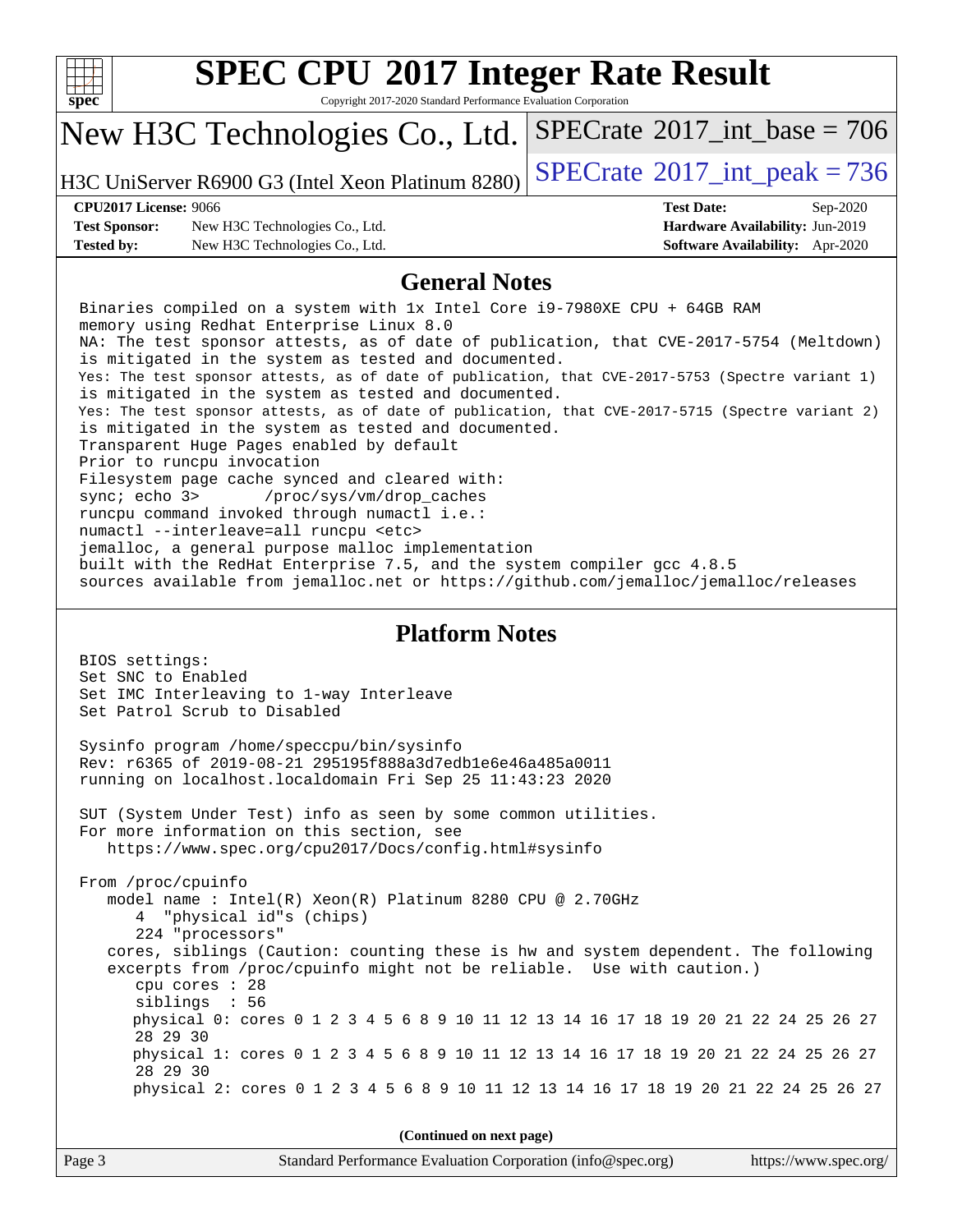| u |  |  |
|---|--|--|

Copyright 2017-2020 Standard Performance Evaluation Corporation

## New H3C Technologies Co., Ltd.

H3C UniServer R6900 G3 (Intel Xeon Platinum  $8280$ ) [SPECrate](http://www.spec.org/auto/cpu2017/Docs/result-fields.html#SPECrate2017intpeak)<sup>®</sup>[2017\\_int\\_peak = 7](http://www.spec.org/auto/cpu2017/Docs/result-fields.html#SPECrate2017intpeak)36

 $SPECTate$ <sup>®</sup>[2017\\_int\\_base =](http://www.spec.org/auto/cpu2017/Docs/result-fields.html#SPECrate2017intbase) 706

**[Test Sponsor:](http://www.spec.org/auto/cpu2017/Docs/result-fields.html#TestSponsor)** New H3C Technologies Co., Ltd. **[Hardware Availability:](http://www.spec.org/auto/cpu2017/Docs/result-fields.html#HardwareAvailability)** Jun-2019 **[Tested by:](http://www.spec.org/auto/cpu2017/Docs/result-fields.html#Testedby)** New H3C Technologies Co., Ltd. **[Software Availability:](http://www.spec.org/auto/cpu2017/Docs/result-fields.html#SoftwareAvailability)** Apr-2020

**[CPU2017 License:](http://www.spec.org/auto/cpu2017/Docs/result-fields.html#CPU2017License)** 9066 **[Test Date:](http://www.spec.org/auto/cpu2017/Docs/result-fields.html#TestDate)** Sep-2020

### **[General Notes](http://www.spec.org/auto/cpu2017/Docs/result-fields.html#GeneralNotes)**

 Binaries compiled on a system with 1x Intel Core i9-7980XE CPU + 64GB RAM memory using Redhat Enterprise Linux 8.0 NA: The test sponsor attests, as of date of publication, that CVE-2017-5754 (Meltdown) is mitigated in the system as tested and documented. Yes: The test sponsor attests, as of date of publication, that CVE-2017-5753 (Spectre variant 1) is mitigated in the system as tested and documented. Yes: The test sponsor attests, as of date of publication, that CVE-2017-5715 (Spectre variant 2) is mitigated in the system as tested and documented. Transparent Huge Pages enabled by default Prior to runcpu invocation Filesystem page cache synced and cleared with: sync; echo 3> /proc/sys/vm/drop\_caches runcpu command invoked through numactl i.e.: numactl --interleave=all runcpu <etc> jemalloc, a general purpose malloc implementation built with the RedHat Enterprise 7.5, and the system compiler gcc 4.8.5 sources available from jemalloc.net or<https://github.com/jemalloc/jemalloc/releases> **[Platform Notes](http://www.spec.org/auto/cpu2017/Docs/result-fields.html#PlatformNotes)** BIOS settings: Set SNC to Enabled Set IMC Interleaving to 1-way Interleave Set Patrol Scrub to Disabled

 Sysinfo program /home/speccpu/bin/sysinfo Rev: r6365 of 2019-08-21 295195f888a3d7edb1e6e46a485a0011 running on localhost.localdomain Fri Sep 25 11:43:23 2020

 SUT (System Under Test) info as seen by some common utilities. For more information on this section, see <https://www.spec.org/cpu2017/Docs/config.html#sysinfo>

 From /proc/cpuinfo model name : Intel(R) Xeon(R) Platinum 8280 CPU @ 2.70GHz 4 "physical id"s (chips) 224 "processors" cores, siblings (Caution: counting these is hw and system dependent. The following excerpts from /proc/cpuinfo might not be reliable. Use with caution.) cpu cores : 28 siblings : 56 physical 0: cores 0 1 2 3 4 5 6 8 9 10 11 12 13 14 16 17 18 19 20 21 22 24 25 26 27 28 29 30 physical 1: cores 0 1 2 3 4 5 6 8 9 10 11 12 13 14 16 17 18 19 20 21 22 24 25 26 27 28 29 30 physical 2: cores 0 1 2 3 4 5 6 8 9 10 11 12 13 14 16 17 18 19 20 21 22 24 25 26 27

**(Continued on next page)**

| Page 3 | Standard Performance Evaluation Corporation (info@spec.org) | https://www.spec.org/ |
|--------|-------------------------------------------------------------|-----------------------|
|--------|-------------------------------------------------------------|-----------------------|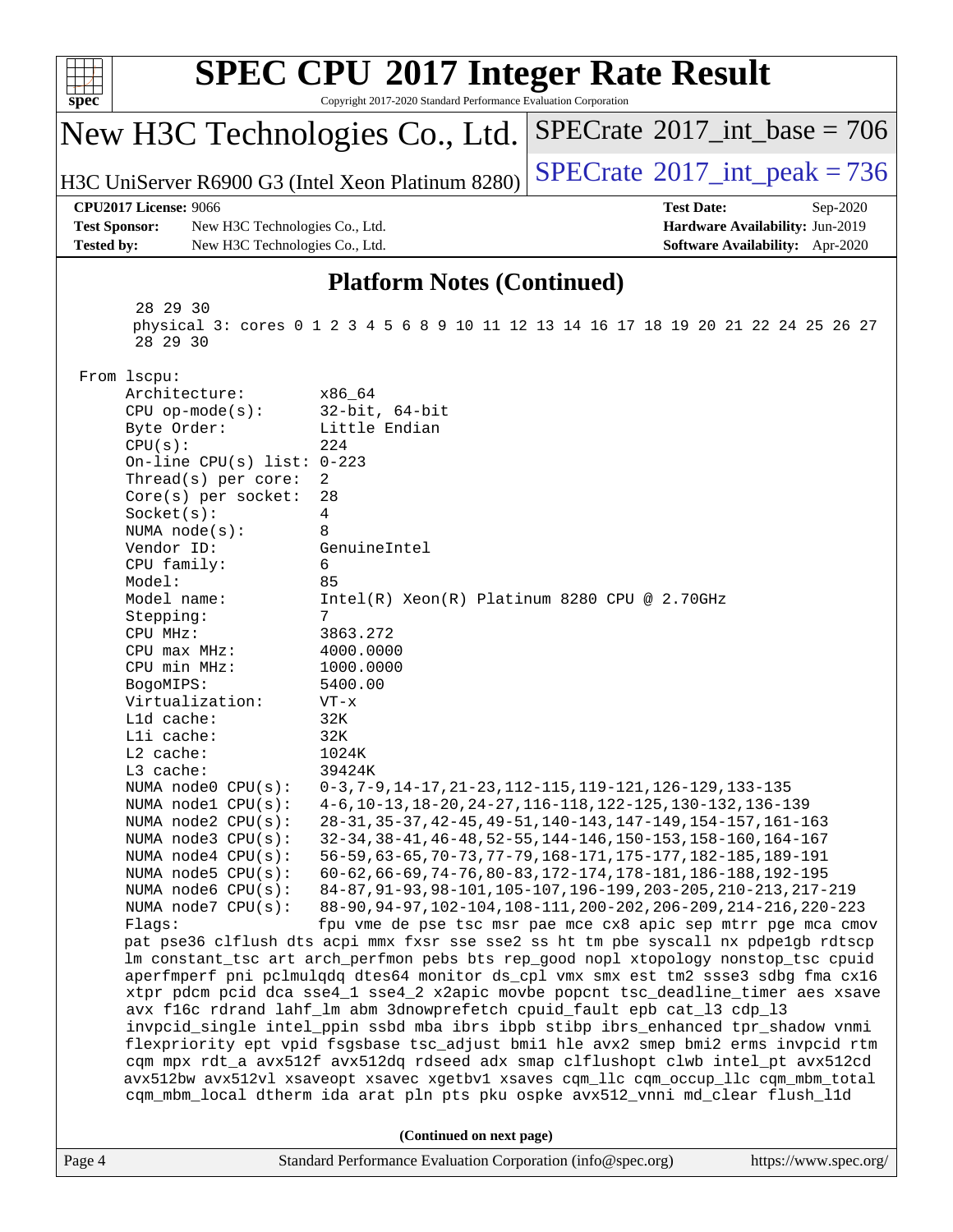| spec <sup>®</sup>                                                                                                                                                                                                                                                                                                                                                                                                                                                                                                                                                                                          | Copyright 2017-2020 Standard Performance Evaluation Corporation                                                                                                                                                                                             | <b>SPEC CPU®2017 Integer Rate Result</b>                                                                                                                                                                                                                                                                                                                                                                                                                                                                                                                                                                                                                                                                                                                                                                                                                                                                                                                                                                                                                                                                                                                                                                                                                                                                                                                                                                                                                                                   |
|------------------------------------------------------------------------------------------------------------------------------------------------------------------------------------------------------------------------------------------------------------------------------------------------------------------------------------------------------------------------------------------------------------------------------------------------------------------------------------------------------------------------------------------------------------------------------------------------------------|-------------------------------------------------------------------------------------------------------------------------------------------------------------------------------------------------------------------------------------------------------------|--------------------------------------------------------------------------------------------------------------------------------------------------------------------------------------------------------------------------------------------------------------------------------------------------------------------------------------------------------------------------------------------------------------------------------------------------------------------------------------------------------------------------------------------------------------------------------------------------------------------------------------------------------------------------------------------------------------------------------------------------------------------------------------------------------------------------------------------------------------------------------------------------------------------------------------------------------------------------------------------------------------------------------------------------------------------------------------------------------------------------------------------------------------------------------------------------------------------------------------------------------------------------------------------------------------------------------------------------------------------------------------------------------------------------------------------------------------------------------------------|
| New H3C Technologies Co., Ltd.                                                                                                                                                                                                                                                                                                                                                                                                                                                                                                                                                                             |                                                                                                                                                                                                                                                             | $SPECrate^{\circ}2017\_int\_base = 706$                                                                                                                                                                                                                                                                                                                                                                                                                                                                                                                                                                                                                                                                                                                                                                                                                                                                                                                                                                                                                                                                                                                                                                                                                                                                                                                                                                                                                                                    |
| H3C UniServer R6900 G3 (Intel Xeon Platinum 8280)                                                                                                                                                                                                                                                                                                                                                                                                                                                                                                                                                          |                                                                                                                                                                                                                                                             | $SPECrate^{\circ}2017\_int\_peak = 736$                                                                                                                                                                                                                                                                                                                                                                                                                                                                                                                                                                                                                                                                                                                                                                                                                                                                                                                                                                                                                                                                                                                                                                                                                                                                                                                                                                                                                                                    |
| <b>CPU2017 License: 9066</b><br><b>Test Sponsor:</b><br>New H3C Technologies Co., Ltd.<br><b>Tested by:</b><br>New H3C Technologies Co., Ltd.                                                                                                                                                                                                                                                                                                                                                                                                                                                              |                                                                                                                                                                                                                                                             | <b>Test Date:</b><br>Sep-2020<br>Hardware Availability: Jun-2019<br>Software Availability: Apr-2020                                                                                                                                                                                                                                                                                                                                                                                                                                                                                                                                                                                                                                                                                                                                                                                                                                                                                                                                                                                                                                                                                                                                                                                                                                                                                                                                                                                        |
|                                                                                                                                                                                                                                                                                                                                                                                                                                                                                                                                                                                                            | <b>Platform Notes (Continued)</b>                                                                                                                                                                                                                           |                                                                                                                                                                                                                                                                                                                                                                                                                                                                                                                                                                                                                                                                                                                                                                                                                                                                                                                                                                                                                                                                                                                                                                                                                                                                                                                                                                                                                                                                                            |
| 28 29 30<br>28 29 30                                                                                                                                                                                                                                                                                                                                                                                                                                                                                                                                                                                       |                                                                                                                                                                                                                                                             | physical 3: cores 0 1 2 3 4 5 6 8 9 10 11 12 13 14 16 17 18 19 20 21 22 24 25 26 27                                                                                                                                                                                                                                                                                                                                                                                                                                                                                                                                                                                                                                                                                                                                                                                                                                                                                                                                                                                                                                                                                                                                                                                                                                                                                                                                                                                                        |
| From lscpu:<br>Architecture:<br>$CPU$ op-mode( $s$ ):<br>Byte Order:<br>CPU(s):<br>On-line CPU(s) list: $0-223$<br>Thread(s) per core:<br>$Core(s)$ per socket:<br>Socket(s):<br>NUMA $node(s):$<br>Vendor ID:<br>CPU family:<br>Model:<br>Model name:<br>Stepping:<br>CPU MHz:<br>$CPU$ max $MHz$ :<br>CPU min MHz:<br>BogoMIPS:<br>Virtualization:<br>L1d cache:<br>Lli cache:<br>$L2$ cache:<br>L3 cache:<br>NUMA node0 CPU(s):<br>NUMA nodel CPU(s):<br>NUMA node2 CPU(s):<br>NUMA node3 CPU(s):<br>NUMA node4 CPU(s):<br>NUMA $node5$ $CPU(s):$<br>NUMA node6 CPU(s):<br>NUMA node7 CPU(s):<br>Flags: | x86_64<br>$32$ -bit, $64$ -bit<br>Little Endian<br>224<br>2<br>28<br>4<br>8<br>GenuineIntel<br>6<br>85<br>$Intel(R) Xeon(R) Platinum 8280 CPU @ 2.70GHz$<br>7<br>3863.272<br>4000.0000<br>1000.0000<br>5400.00<br>$VT - x$<br>32K<br>32K<br>1024K<br>39424K | 0-3, 7-9, 14-17, 21-23, 112-115, 119-121, 126-129, 133-135<br>4-6, 10-13, 18-20, 24-27, 116-118, 122-125, 130-132, 136-139<br>28-31, 35-37, 42-45, 49-51, 140-143, 147-149, 154-157, 161-163<br>32-34, 38-41, 46-48, 52-55, 144-146, 150-153, 158-160, 164-167<br>56-59, 63-65, 70-73, 77-79, 168-171, 175-177, 182-185, 189-191<br>60-62, 66-69, 74-76, 80-83, 172-174, 178-181, 186-188, 192-195<br>84-87, 91-93, 98-101, 105-107, 196-199, 203-205, 210-213, 217-219<br>88-90, 94-97, 102-104, 108-111, 200-202, 206-209, 214-216, 220-223<br>fpu vme de pse tsc msr pae mce cx8 apic sep mtrr pge mca cmov<br>pat pse36 clflush dts acpi mmx fxsr sse sse2 ss ht tm pbe syscall nx pdpelgb rdtscp<br>lm constant_tsc art arch_perfmon pebs bts rep_good nopl xtopology nonstop_tsc cpuid<br>aperfmperf pni pclmulqdq dtes64 monitor ds_cpl vmx smx est tm2 ssse3 sdbg fma cx16<br>xtpr pdcm pcid dca sse4_1 sse4_2 x2apic movbe popcnt tsc_deadline_timer aes xsave<br>avx f16c rdrand lahf_lm abm 3dnowprefetch cpuid_fault epb cat_13 cdp_13<br>invpcid_single intel_ppin ssbd mba ibrs ibpb stibp ibrs_enhanced tpr_shadow vnmi<br>flexpriority ept vpid fsgsbase tsc_adjust bmil hle avx2 smep bmi2 erms invpcid rtm<br>cqm mpx rdt_a avx512f avx512dq rdseed adx smap clflushopt clwb intel_pt avx512cd<br>avx512bw avx512vl xsaveopt xsavec xgetbvl xsaves cqm_llc cqm_occup_llc cqm_mbm_total<br>cqm_mbm_local dtherm ida arat pln pts pku ospke avx512_vnni md_clear flush_l1d |
| Page 4                                                                                                                                                                                                                                                                                                                                                                                                                                                                                                                                                                                                     | (Continued on next page)<br>Standard Performance Evaluation Corporation (info@spec.org)                                                                                                                                                                     | https://www.spec.org/                                                                                                                                                                                                                                                                                                                                                                                                                                                                                                                                                                                                                                                                                                                                                                                                                                                                                                                                                                                                                                                                                                                                                                                                                                                                                                                                                                                                                                                                      |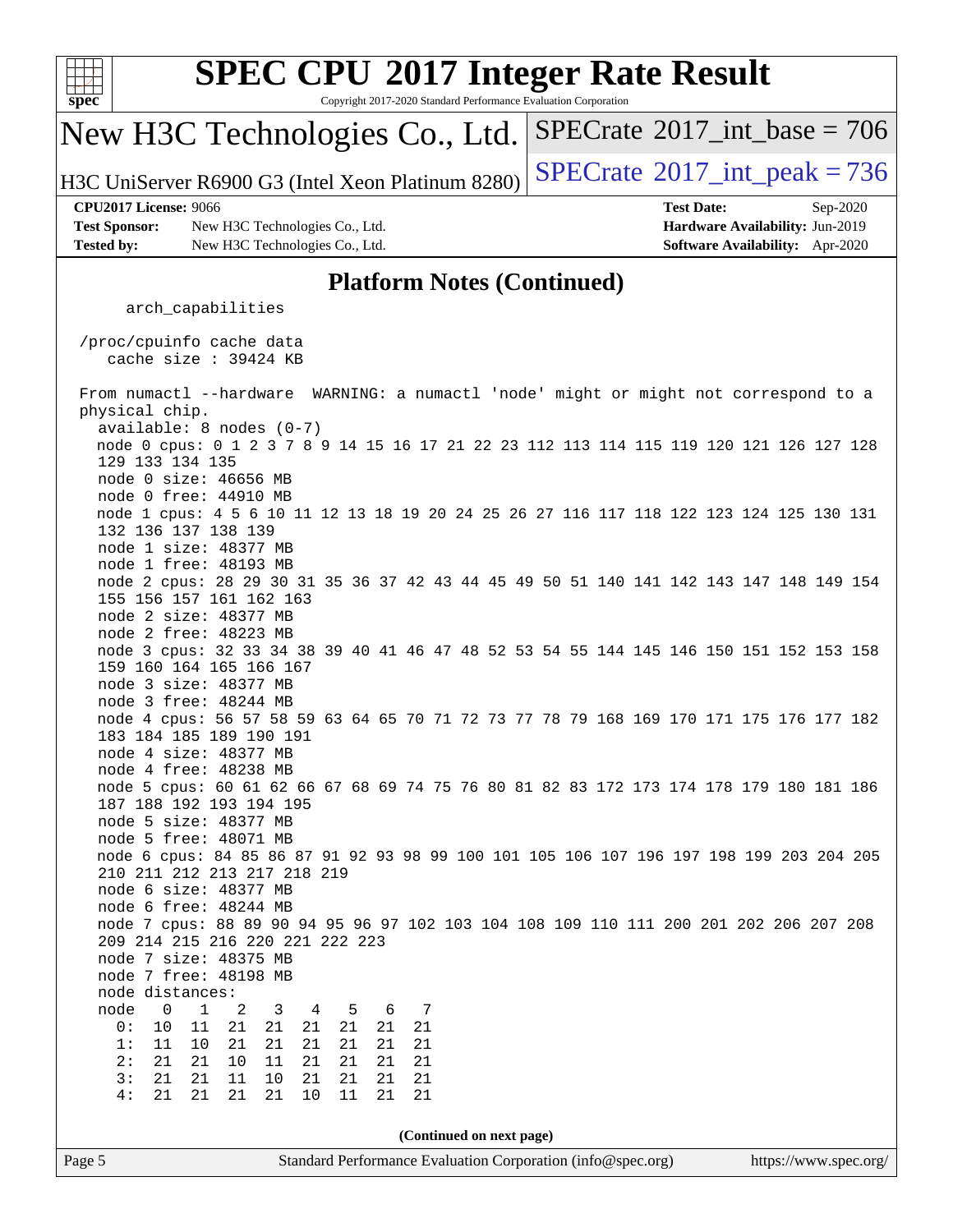

Copyright 2017-2020 Standard Performance Evaluation Corporation

## New H3C Technologies Co., Ltd.

H3C UniServer R6900 G3 (Intel Xeon Platinum  $8280$ ) [SPECrate](http://www.spec.org/auto/cpu2017/Docs/result-fields.html#SPECrate2017intpeak)<sup>®</sup>[2017\\_int\\_peak = 7](http://www.spec.org/auto/cpu2017/Docs/result-fields.html#SPECrate2017intpeak)36

 $SPECTate$ <sup>®</sup>[2017\\_int\\_base =](http://www.spec.org/auto/cpu2017/Docs/result-fields.html#SPECrate2017intbase) 706

**[CPU2017 License:](http://www.spec.org/auto/cpu2017/Docs/result-fields.html#CPU2017License)** 9066 **[Test Date:](http://www.spec.org/auto/cpu2017/Docs/result-fields.html#TestDate)** Sep-2020 **[Test Sponsor:](http://www.spec.org/auto/cpu2017/Docs/result-fields.html#TestSponsor)** New H3C Technologies Co., Ltd. **[Hardware Availability:](http://www.spec.org/auto/cpu2017/Docs/result-fields.html#HardwareAvailability)** Jun-2019 **[Tested by:](http://www.spec.org/auto/cpu2017/Docs/result-fields.html#Testedby)** New H3C Technologies Co., Ltd. **[Software Availability:](http://www.spec.org/auto/cpu2017/Docs/result-fields.html#SoftwareAvailability)** Apr-2020

### **[Platform Notes \(Continued\)](http://www.spec.org/auto/cpu2017/Docs/result-fields.html#PlatformNotes)**

arch\_capabilities

 /proc/cpuinfo cache data cache size : 39424 KB

 From numactl --hardware WARNING: a numactl 'node' might or might not correspond to a physical chip. available: 8 nodes (0-7) node 0 cpus: 0 1 2 3 7 8 9 14 15 16 17 21 22 23 112 113 114 115 119 120 121 126 127 128 129 133 134 135 node 0 size: 46656 MB node 0 free: 44910 MB node 1 cpus: 4 5 6 10 11 12 13 18 19 20 24 25 26 27 116 117 118 122 123 124 125 130 131 132 136 137 138 139 node 1 size: 48377 MB node 1 free: 48193 MB node 2 cpus: 28 29 30 31 35 36 37 42 43 44 45 49 50 51 140 141 142 143 147 148 149 154 155 156 157 161 162 163 node 2 size: 48377 MB node 2 free: 48223 MB node 3 cpus: 32 33 34 38 39 40 41 46 47 48 52 53 54 55 144 145 146 150 151 152 153 158 159 160 164 165 166 167 node 3 size: 48377 MB node 3 free: 48244 MB node 4 cpus: 56 57 58 59 63 64 65 70 71 72 73 77 78 79 168 169 170 171 175 176 177 182 183 184 185 189 190 191 node 4 size: 48377 MB node 4 free: 48238 MB node 5 cpus: 60 61 62 66 67 68 69 74 75 76 80 81 82 83 172 173 174 178 179 180 181 186 187 188 192 193 194 195 node 5 size: 48377 MB node 5 free: 48071 MB node 6 cpus: 84 85 86 87 91 92 93 98 99 100 101 105 106 107 196 197 198 199 203 204 205 210 211 212 213 217 218 219 node 6 size: 48377 MB node 6 free: 48244 MB node 7 cpus: 88 89 90 94 95 96 97 102 103 104 108 109 110 111 200 201 202 206 207 208 209 214 215 216 220 221 222 223 node 7 size: 48375 MB node 7 free: 48198 MB node distances: node 0 1 2 3 4 5 6 7 0: 10 11 21 21 21 21 21 21 1: 11 10 21 21 21 21 21 21 2: 21 21 10 11 21 21 21 21 3: 21 21 11 10 21 21 21 21 4: 21 21 21 21 10 11 21 21 **(Continued on next page)**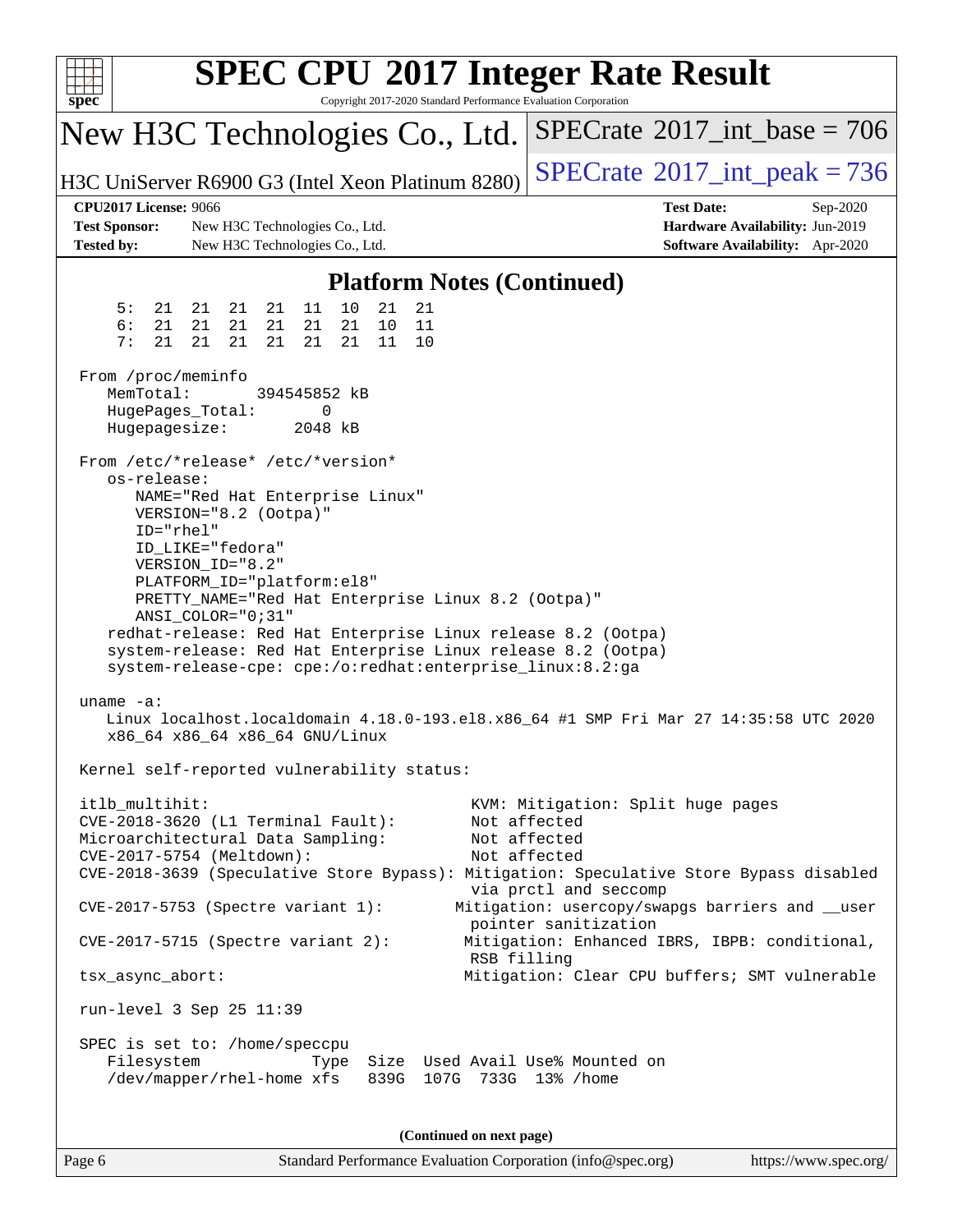| $s\overline{p}\overline{e}\overline{c}$                                                                                |                                                                                                                        |                                                                                                                                                    | Copyright 2017-2020 Standard Performance Evaluation Corporation | <b>SPEC CPU®2017 Integer Rate Result</b>                                                                                                                                                              |                                                                                       |
|------------------------------------------------------------------------------------------------------------------------|------------------------------------------------------------------------------------------------------------------------|----------------------------------------------------------------------------------------------------------------------------------------------------|-----------------------------------------------------------------|-------------------------------------------------------------------------------------------------------------------------------------------------------------------------------------------------------|---------------------------------------------------------------------------------------|
| New H3C Technologies Co., Ltd.                                                                                         |                                                                                                                        |                                                                                                                                                    |                                                                 | $SPECrate^{\circ}2017\_int\_base = 706$                                                                                                                                                               |                                                                                       |
| H3C UniServer R6900 G3 (Intel Xeon Platinum 8280)                                                                      |                                                                                                                        |                                                                                                                                                    |                                                                 | $SPECrate^{\circ}2017\_int\_peak = 736$                                                                                                                                                               |                                                                                       |
| <b>CPU2017 License: 9066</b><br><b>Test Sponsor:</b><br><b>Tested by:</b>                                              | New H3C Technologies Co., Ltd.<br>New H3C Technologies Co., Ltd.                                                       |                                                                                                                                                    |                                                                 | <b>Test Date:</b>                                                                                                                                                                                     | Sep-2020<br>Hardware Availability: Jun-2019<br><b>Software Availability:</b> Apr-2020 |
|                                                                                                                        |                                                                                                                        |                                                                                                                                                    | <b>Platform Notes (Continued)</b>                               |                                                                                                                                                                                                       |                                                                                       |
| 5:<br>21<br>6:<br>21<br>7:<br>21                                                                                       | 21<br>21<br>21<br>21<br>21<br>21<br>21<br>21<br>21                                                                     | 11<br>10<br>21<br>21<br>21<br>10<br>21<br>21<br>11                                                                                                 | 21<br>11<br>10                                                  |                                                                                                                                                                                                       |                                                                                       |
| From /proc/meminfo<br>MemTotal:<br>HugePages_Total:<br>Hugepagesize:                                                   |                                                                                                                        | 394545852 kB<br>0<br>2048 kB                                                                                                                       |                                                                 |                                                                                                                                                                                                       |                                                                                       |
| From /etc/*release* /etc/*version*<br>os-release:<br>ID="rhel"                                                         | VERSION="8.2 (Ootpa)"<br>ID_LIKE="fedora"<br>VERSION_ID="8.2"<br>PLATFORM_ID="platform:el8"<br>$ANSI\_COLOR = "0; 31"$ | NAME="Red Hat Enterprise Linux"<br>PRETTY_NAME="Red Hat Enterprise Linux 8.2 (Ootpa)"<br>system-release-cpe: cpe:/o:redhat:enterprise_linux:8.2:ga |                                                                 | redhat-release: Red Hat Enterprise Linux release 8.2 (Ootpa)<br>system-release: Red Hat Enterprise Linux release 8.2 (Ootpa)                                                                          |                                                                                       |
| uname $-a$ :                                                                                                           | x86_64 x86_64 x86_64 GNU/Linux                                                                                         |                                                                                                                                                    |                                                                 | Linux localhost.localdomain 4.18.0-193.el8.x86_64 #1 SMP Fri Mar 27 14:35:58 UTC 2020                                                                                                                 |                                                                                       |
|                                                                                                                        |                                                                                                                        | Kernel self-reported vulnerability status:                                                                                                         |                                                                 |                                                                                                                                                                                                       |                                                                                       |
| itlb_multihit:<br>CVE-2018-3620 (L1 Terminal Fault):<br>Microarchitectural Data Sampling:<br>CVE-2017-5754 (Meltdown): |                                                                                                                        |                                                                                                                                                    |                                                                 | KVM: Mitigation: Split huge pages<br>Not affected<br>Not affected<br>Not affected<br>CVE-2018-3639 (Speculative Store Bypass): Mitigation: Speculative Store Bypass disabled<br>via prctl and seccomp |                                                                                       |
| $CVE-2017-5753$ (Spectre variant 1):                                                                                   |                                                                                                                        |                                                                                                                                                    |                                                                 | Mitigation: usercopy/swapgs barriers and __user<br>pointer sanitization                                                                                                                               |                                                                                       |
| $CVE-2017-5715$ (Spectre variant 2):                                                                                   |                                                                                                                        |                                                                                                                                                    | RSB filling                                                     | Mitigation: Enhanced IBRS, IBPB: conditional,                                                                                                                                                         |                                                                                       |
| tsx_async_abort:                                                                                                       |                                                                                                                        |                                                                                                                                                    |                                                                 | Mitigation: Clear CPU buffers; SMT vulnerable                                                                                                                                                         |                                                                                       |
| run-level 3 Sep 25 11:39                                                                                               |                                                                                                                        |                                                                                                                                                    |                                                                 |                                                                                                                                                                                                       |                                                                                       |
| SPEC is set to: /home/speccpu<br>Filesystem                                                                            | /dev/mapper/rhel-home xfs                                                                                              | Type                                                                                                                                               | 839G 107G 733G 13% / home                                       | Size Used Avail Use% Mounted on                                                                                                                                                                       |                                                                                       |
|                                                                                                                        |                                                                                                                        |                                                                                                                                                    | (Continued on next page)                                        |                                                                                                                                                                                                       |                                                                                       |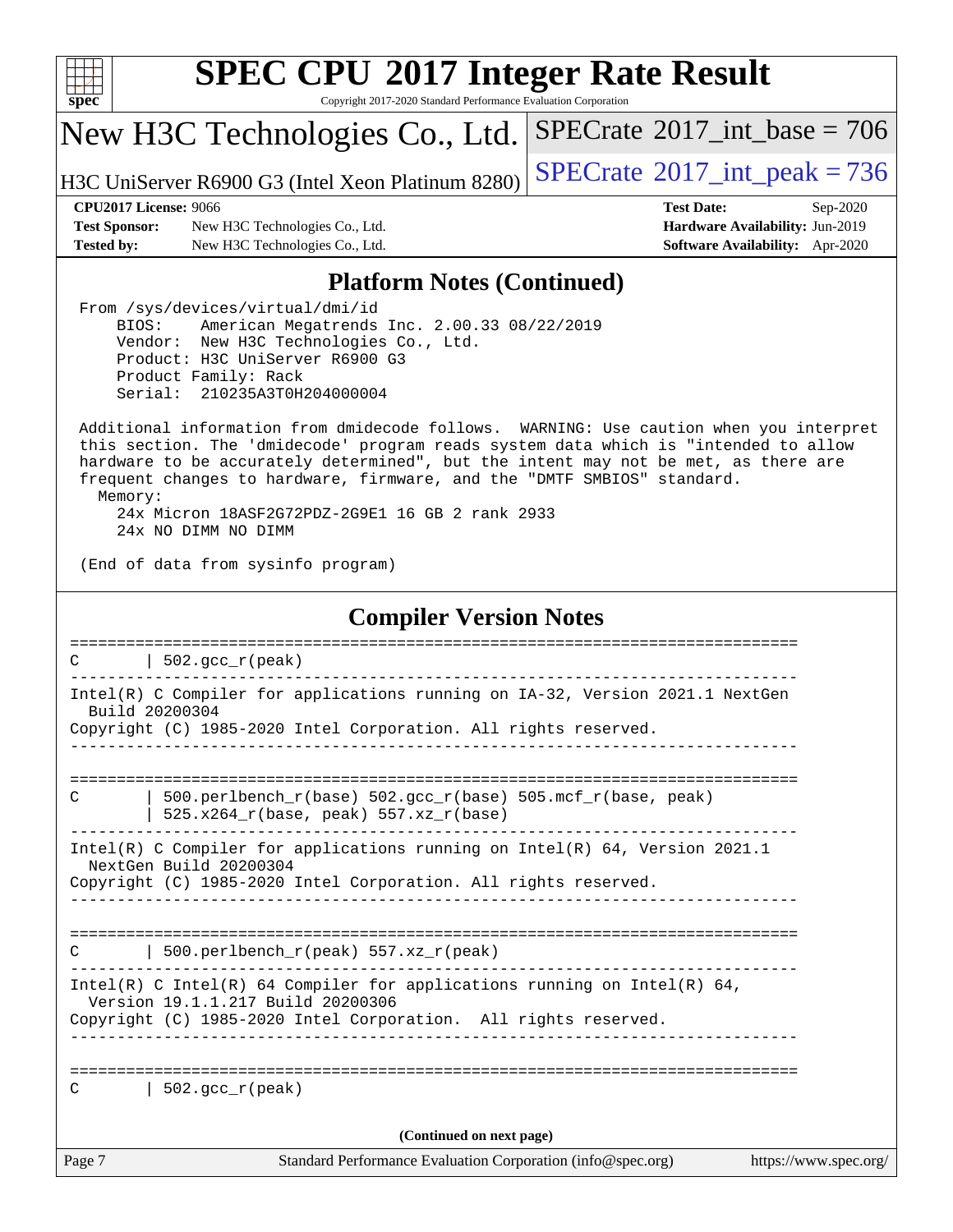

Copyright 2017-2020 Standard Performance Evaluation Corporation

New H3C Technologies Co., Ltd.

H3C UniServer R6900 G3 (Intel Xeon Platinum  $8280$ ) [SPECrate](http://www.spec.org/auto/cpu2017/Docs/result-fields.html#SPECrate2017intpeak)<sup>®</sup>[2017\\_int\\_peak = 7](http://www.spec.org/auto/cpu2017/Docs/result-fields.html#SPECrate2017intpeak)36

 $SPECTate$ <sup>®</sup>[2017\\_int\\_base =](http://www.spec.org/auto/cpu2017/Docs/result-fields.html#SPECrate2017intbase) 706

**[Test Sponsor:](http://www.spec.org/auto/cpu2017/Docs/result-fields.html#TestSponsor)** New H3C Technologies Co., Ltd. **[Hardware Availability:](http://www.spec.org/auto/cpu2017/Docs/result-fields.html#HardwareAvailability)** Jun-2019 **[Tested by:](http://www.spec.org/auto/cpu2017/Docs/result-fields.html#Testedby)** New H3C Technologies Co., Ltd. **[Software Availability:](http://www.spec.org/auto/cpu2017/Docs/result-fields.html#SoftwareAvailability)** Apr-2020

**[CPU2017 License:](http://www.spec.org/auto/cpu2017/Docs/result-fields.html#CPU2017License)** 9066 **[Test Date:](http://www.spec.org/auto/cpu2017/Docs/result-fields.html#TestDate)** Sep-2020

### **[Platform Notes \(Continued\)](http://www.spec.org/auto/cpu2017/Docs/result-fields.html#PlatformNotes)**

 From /sys/devices/virtual/dmi/id BIOS: American Megatrends Inc. 2.00.33 08/22/2019 Vendor: New H3C Technologies Co., Ltd. Product: H3C UniServer R6900 G3 Product Family: Rack Serial: 210235A3T0H204000004

 Additional information from dmidecode follows. WARNING: Use caution when you interpret this section. The 'dmidecode' program reads system data which is "intended to allow hardware to be accurately determined", but the intent may not be met, as there are frequent changes to hardware, firmware, and the "DMTF SMBIOS" standard. Memory: 24x Micron 18ASF2G72PDZ-2G9E1 16 GB 2 rank 2933

24x NO DIMM NO DIMM

(End of data from sysinfo program)

#### **[Compiler Version Notes](http://www.spec.org/auto/cpu2017/Docs/result-fields.html#CompilerVersionNotes)**

| Intel(R) C Compiler for applications running on IA-32, Version 2021.1 NextGen<br>Build 20200304<br>Copyright (C) 1985-2020 Intel Corporation. All rights reserved.<br>500.perlbench $r(base)$ 502.qcc $r(base)$ 505.mcf $r(base, peak)$<br>$\mathcal{C}$<br>525.x264_r(base, peak) 557.xz_r(base)<br>Intel(R) C Compiler for applications running on $Intel(R) 64$ , Version 2021.1<br>NextGen Build 20200304<br>Copyright (C) 1985-2020 Intel Corporation. All rights reserved.<br>500.perlbench $r(\text{peak})$ 557.xz $r(\text{peak})$<br>C<br>Intel(R) C Intel(R) 64 Compiler for applications running on Intel(R) 64,<br>Version 19.1.1.217 Build 20200306<br>Copyright (C) 1985-2020 Intel Corporation. All rights reserved.<br>=============================<br>$\vert$ 502.gcc_r(peak)<br>C<br>(Continued on next page) |        | 502. $qcc r (peak)$                                         |                       |
|----------------------------------------------------------------------------------------------------------------------------------------------------------------------------------------------------------------------------------------------------------------------------------------------------------------------------------------------------------------------------------------------------------------------------------------------------------------------------------------------------------------------------------------------------------------------------------------------------------------------------------------------------------------------------------------------------------------------------------------------------------------------------------------------------------------------------------|--------|-------------------------------------------------------------|-----------------------|
|                                                                                                                                                                                                                                                                                                                                                                                                                                                                                                                                                                                                                                                                                                                                                                                                                                  |        |                                                             |                       |
|                                                                                                                                                                                                                                                                                                                                                                                                                                                                                                                                                                                                                                                                                                                                                                                                                                  |        |                                                             |                       |
|                                                                                                                                                                                                                                                                                                                                                                                                                                                                                                                                                                                                                                                                                                                                                                                                                                  |        |                                                             |                       |
|                                                                                                                                                                                                                                                                                                                                                                                                                                                                                                                                                                                                                                                                                                                                                                                                                                  |        |                                                             |                       |
|                                                                                                                                                                                                                                                                                                                                                                                                                                                                                                                                                                                                                                                                                                                                                                                                                                  |        |                                                             |                       |
|                                                                                                                                                                                                                                                                                                                                                                                                                                                                                                                                                                                                                                                                                                                                                                                                                                  |        |                                                             |                       |
|                                                                                                                                                                                                                                                                                                                                                                                                                                                                                                                                                                                                                                                                                                                                                                                                                                  | Page 7 | Standard Performance Evaluation Corporation (info@spec.org) | https://www.spec.org/ |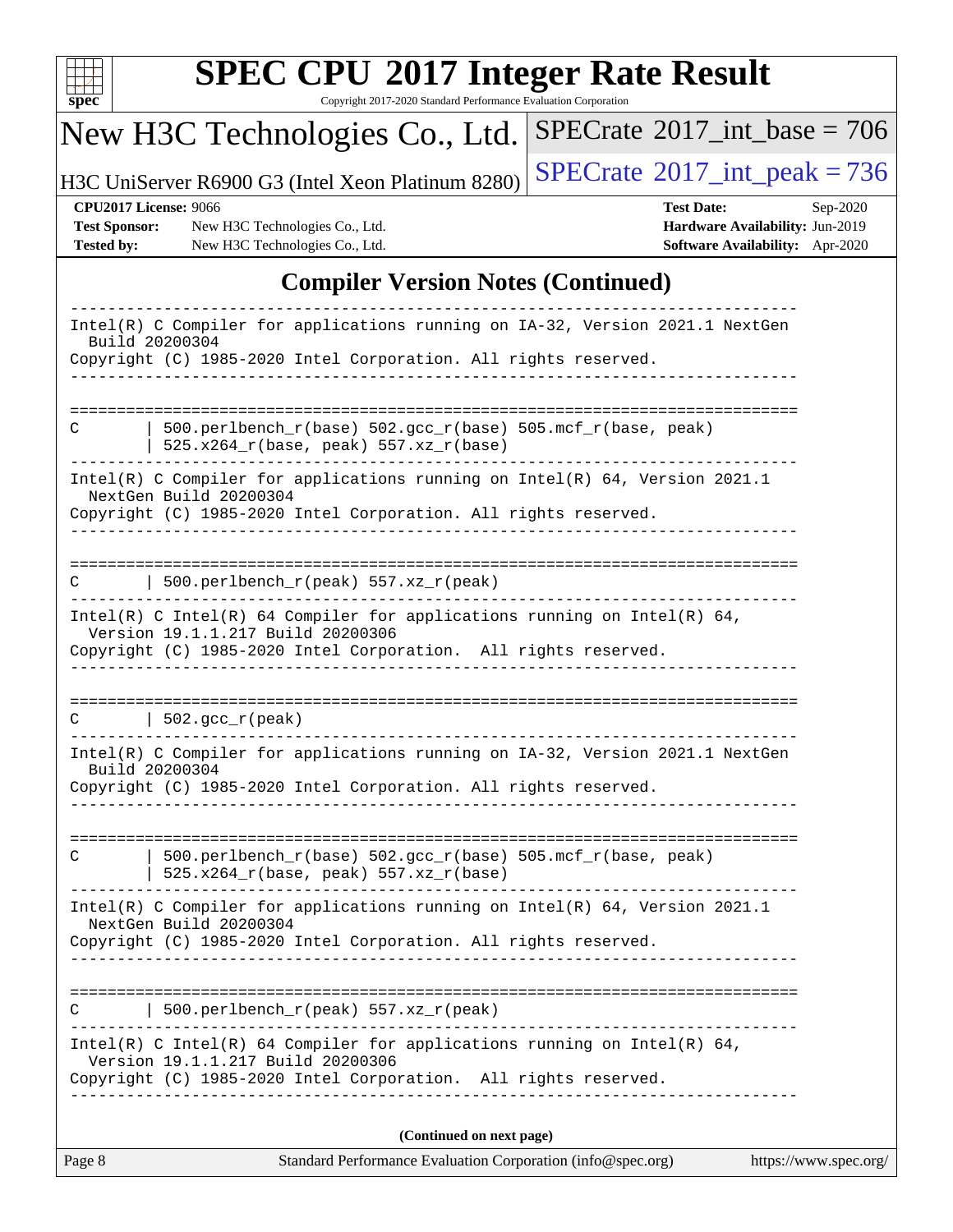

Copyright 2017-2020 Standard Performance Evaluation Corporation

# New H3C Technologies Co., Ltd.

H3C UniServer R6900 G3 (Intel Xeon Platinum 8280)  $\left|$  [SPECrate](http://www.spec.org/auto/cpu2017/Docs/result-fields.html#SPECrate2017intpeak)<sup>®</sup>[2017\\_int\\_peak = 7](http://www.spec.org/auto/cpu2017/Docs/result-fields.html#SPECrate2017intpeak)36

 $SPECrate$ <sup>®</sup>[2017\\_int\\_base =](http://www.spec.org/auto/cpu2017/Docs/result-fields.html#SPECrate2017intbase) 706

**[Test Sponsor:](http://www.spec.org/auto/cpu2017/Docs/result-fields.html#TestSponsor)** New H3C Technologies Co., Ltd. **[Hardware Availability:](http://www.spec.org/auto/cpu2017/Docs/result-fields.html#HardwareAvailability)** Jun-2019 **[Tested by:](http://www.spec.org/auto/cpu2017/Docs/result-fields.html#Testedby)** New H3C Technologies Co., Ltd. **[Software Availability:](http://www.spec.org/auto/cpu2017/Docs/result-fields.html#SoftwareAvailability)** Apr-2020

**[CPU2017 License:](http://www.spec.org/auto/cpu2017/Docs/result-fields.html#CPU2017License)** 9066 **[Test Date:](http://www.spec.org/auto/cpu2017/Docs/result-fields.html#TestDate)** Sep-2020

### **[Compiler Version Notes \(Continued\)](http://www.spec.org/auto/cpu2017/Docs/result-fields.html#CompilerVersionNotes)**

| Page 8         | Standard Performance Evaluation Corporation (info@spec.org)                                                                                                                                           | https://www.spec.org/ |
|----------------|-------------------------------------------------------------------------------------------------------------------------------------------------------------------------------------------------------|-----------------------|
|                | (Continued on next page)                                                                                                                                                                              |                       |
|                | Intel(R) C Intel(R) 64 Compiler for applications running on Intel(R) 64,<br>Version 19.1.1.217 Build 20200306<br>Copyright (C) 1985-2020 Intel Corporation. All rights reserved.                      |                       |
| C              | 500.perlbench_r(peak) 557.xz_r(peak)                                                                                                                                                                  |                       |
|                | Intel(R) C Compiler for applications running on $Intel(R) 64$ , Version 2021.1<br>NextGen Build 20200304<br>Copyright (C) 1985-2020 Intel Corporation. All rights reserved.                           |                       |
| C              | 500.perlbench_r(base) 502.gcc_r(base) 505.mcf_r(base, peak)<br>$525.x264_r(base, peak) 557.xz_r(base)$                                                                                                |                       |
| Build 20200304 | Intel(R) C Compiler for applications running on IA-32, Version 2021.1 NextGen<br>Copyright (C) 1985-2020 Intel Corporation. All rights reserved.                                                      |                       |
|                | $C \qquad   \quad 502.\text{gcc\_r}(\text{peak})$                                                                                                                                                     |                       |
|                | Intel(R) C Intel(R) 64 Compiler for applications running on Intel(R) 64,<br>Version 19.1.1.217 Build 20200306<br>Copyright (C) 1985-2020 Intel Corporation. All rights reserved.<br>----------------- |                       |
| C              | 500.perlbench_r(peak) 557.xz_r(peak)                                                                                                                                                                  |                       |
|                | Intel(R) C Compiler for applications running on Intel(R) 64, Version 2021.1<br>NextGen Build 20200304<br>Copyright (C) 1985-2020 Intel Corporation. All rights reserved.                              |                       |
| C              | $500. perlbench_r(base) 502. gcc_r(base) 505.mcf_r(base, peak)$<br>$525.x264_r(base, peak) 557.xz_r(base)$                                                                                            |                       |
|                |                                                                                                                                                                                                       |                       |
| Build 20200304 | Intel(R) C Compiler for applications running on IA-32, Version 2021.1 NextGen<br>Copyright (C) 1985-2020 Intel Corporation. All rights reserved.                                                      |                       |
|                |                                                                                                                                                                                                       |                       |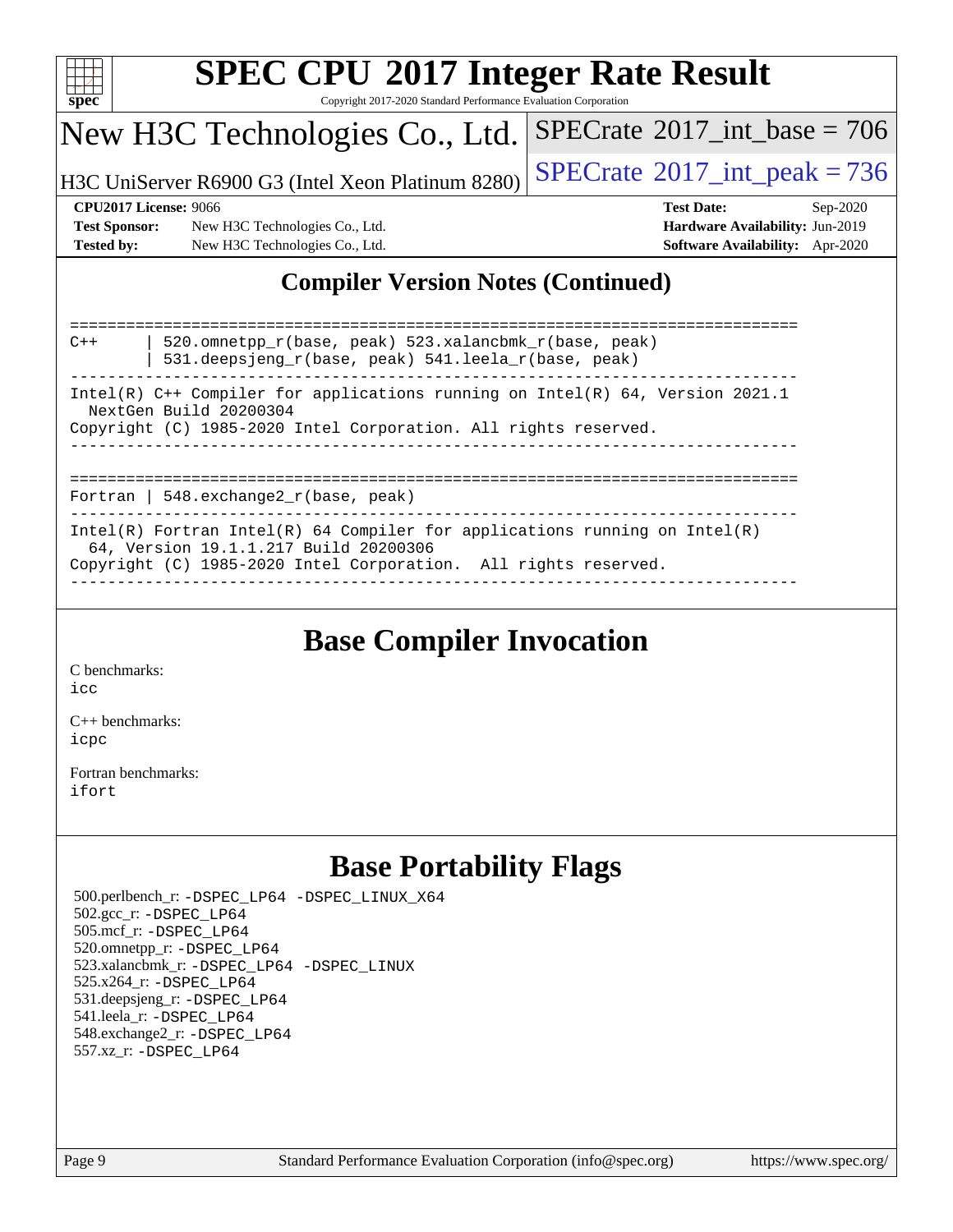

Copyright 2017-2020 Standard Performance Evaluation Corporation

### New H3C Technologies Co., Ltd.

H3C UniServer R6900 G3 (Intel Xeon Platinum  $8280$ ) [SPECrate](http://www.spec.org/auto/cpu2017/Docs/result-fields.html#SPECrate2017intpeak)<sup>®</sup>[2017\\_int\\_peak = 7](http://www.spec.org/auto/cpu2017/Docs/result-fields.html#SPECrate2017intpeak)36

 $SPECTate$ <sup>®</sup>[2017\\_int\\_base =](http://www.spec.org/auto/cpu2017/Docs/result-fields.html#SPECrate2017intbase) 706

#### **[CPU2017 License:](http://www.spec.org/auto/cpu2017/Docs/result-fields.html#CPU2017License)** 9066 **[Test Date:](http://www.spec.org/auto/cpu2017/Docs/result-fields.html#TestDate)** Sep-2020

**[Test Sponsor:](http://www.spec.org/auto/cpu2017/Docs/result-fields.html#TestSponsor)** New H3C Technologies Co., Ltd. **[Hardware Availability:](http://www.spec.org/auto/cpu2017/Docs/result-fields.html#HardwareAvailability)** Jun-2019 **[Tested by:](http://www.spec.org/auto/cpu2017/Docs/result-fields.html#Testedby)** New H3C Technologies Co., Ltd. **[Software Availability:](http://www.spec.org/auto/cpu2017/Docs/result-fields.html#SoftwareAvailability)** Apr-2020

### **[Compiler Version Notes \(Continued\)](http://www.spec.org/auto/cpu2017/Docs/result-fields.html#CompilerVersionNotes)**

============================================================================== C++ | 520.omnetpp\_r(base, peak) 523.xalancbmk\_r(base, peak) | 531.deepsjeng\_r(base, peak) 541.leela\_r(base, peak) ------------------------------------------------------------------------------ Intel(R) C++ Compiler for applications running on Intel(R) 64, Version 2021.1 NextGen Build 20200304 Copyright (C) 1985-2020 Intel Corporation. All rights reserved. ------------------------------------------------------------------------------ ============================================================================== Fortran | 548.exchange2\_r(base, peak) ------------------------------------------------------------------------------ Intel(R) Fortran Intel(R) 64 Compiler for applications running on Intel(R) 64, Version 19.1.1.217 Build 20200306 Copyright (C) 1985-2020 Intel Corporation. All rights reserved. ------------------------------------------------------------------------------

### **[Base Compiler Invocation](http://www.spec.org/auto/cpu2017/Docs/result-fields.html#BaseCompilerInvocation)**

[C benchmarks](http://www.spec.org/auto/cpu2017/Docs/result-fields.html#Cbenchmarks):  $i$ cc

[C++ benchmarks:](http://www.spec.org/auto/cpu2017/Docs/result-fields.html#CXXbenchmarks) [icpc](http://www.spec.org/cpu2017/results/res2020q4/cpu2017-20201014-24208.flags.html#user_CXXbase_intel_icpc_c510b6838c7f56d33e37e94d029a35b4a7bccf4766a728ee175e80a419847e808290a9b78be685c44ab727ea267ec2f070ec5dc83b407c0218cded6866a35d07)

[Fortran benchmarks](http://www.spec.org/auto/cpu2017/Docs/result-fields.html#Fortranbenchmarks): [ifort](http://www.spec.org/cpu2017/results/res2020q4/cpu2017-20201014-24208.flags.html#user_FCbase_intel_ifort_8111460550e3ca792625aed983ce982f94888b8b503583aa7ba2b8303487b4d8a21a13e7191a45c5fd58ff318f48f9492884d4413fa793fd88dd292cad7027ca)

### **[Base Portability Flags](http://www.spec.org/auto/cpu2017/Docs/result-fields.html#BasePortabilityFlags)**

 500.perlbench\_r: [-DSPEC\\_LP64](http://www.spec.org/cpu2017/results/res2020q4/cpu2017-20201014-24208.flags.html#b500.perlbench_r_basePORTABILITY_DSPEC_LP64) [-DSPEC\\_LINUX\\_X64](http://www.spec.org/cpu2017/results/res2020q4/cpu2017-20201014-24208.flags.html#b500.perlbench_r_baseCPORTABILITY_DSPEC_LINUX_X64) 502.gcc\_r: [-DSPEC\\_LP64](http://www.spec.org/cpu2017/results/res2020q4/cpu2017-20201014-24208.flags.html#suite_basePORTABILITY502_gcc_r_DSPEC_LP64) 505.mcf\_r: [-DSPEC\\_LP64](http://www.spec.org/cpu2017/results/res2020q4/cpu2017-20201014-24208.flags.html#suite_basePORTABILITY505_mcf_r_DSPEC_LP64) 520.omnetpp\_r: [-DSPEC\\_LP64](http://www.spec.org/cpu2017/results/res2020q4/cpu2017-20201014-24208.flags.html#suite_basePORTABILITY520_omnetpp_r_DSPEC_LP64) 523.xalancbmk\_r: [-DSPEC\\_LP64](http://www.spec.org/cpu2017/results/res2020q4/cpu2017-20201014-24208.flags.html#suite_basePORTABILITY523_xalancbmk_r_DSPEC_LP64) [-DSPEC\\_LINUX](http://www.spec.org/cpu2017/results/res2020q4/cpu2017-20201014-24208.flags.html#b523.xalancbmk_r_baseCXXPORTABILITY_DSPEC_LINUX) 525.x264\_r: [-DSPEC\\_LP64](http://www.spec.org/cpu2017/results/res2020q4/cpu2017-20201014-24208.flags.html#suite_basePORTABILITY525_x264_r_DSPEC_LP64) 531.deepsjeng\_r: [-DSPEC\\_LP64](http://www.spec.org/cpu2017/results/res2020q4/cpu2017-20201014-24208.flags.html#suite_basePORTABILITY531_deepsjeng_r_DSPEC_LP64) 541.leela\_r: [-DSPEC\\_LP64](http://www.spec.org/cpu2017/results/res2020q4/cpu2017-20201014-24208.flags.html#suite_basePORTABILITY541_leela_r_DSPEC_LP64) 548.exchange2\_r: [-DSPEC\\_LP64](http://www.spec.org/cpu2017/results/res2020q4/cpu2017-20201014-24208.flags.html#suite_basePORTABILITY548_exchange2_r_DSPEC_LP64) 557.xz\_r: [-DSPEC\\_LP64](http://www.spec.org/cpu2017/results/res2020q4/cpu2017-20201014-24208.flags.html#suite_basePORTABILITY557_xz_r_DSPEC_LP64)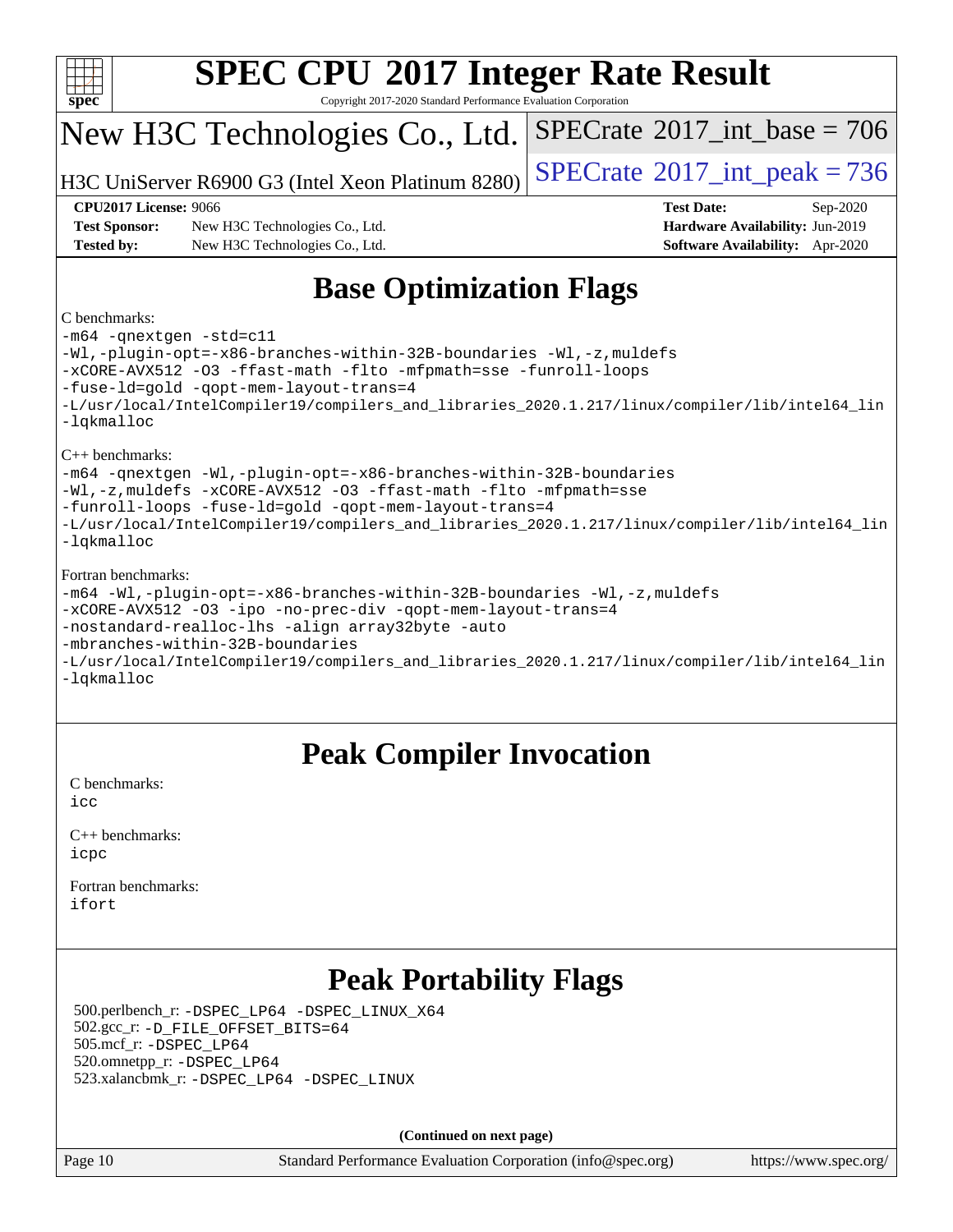

Copyright 2017-2020 Standard Performance Evaluation Corporation

## New H3C Technologies Co., Ltd.

H3C UniServer R6900 G3 (Intel Xeon Platinum  $8280$ ) [SPECrate](http://www.spec.org/auto/cpu2017/Docs/result-fields.html#SPECrate2017intpeak)<sup>®</sup>[2017\\_int\\_peak = 7](http://www.spec.org/auto/cpu2017/Docs/result-fields.html#SPECrate2017intpeak)36

 $SPECTate$ <sup>®</sup>[2017\\_int\\_base =](http://www.spec.org/auto/cpu2017/Docs/result-fields.html#SPECrate2017intbase) 706

**[Test Sponsor:](http://www.spec.org/auto/cpu2017/Docs/result-fields.html#TestSponsor)** New H3C Technologies Co., Ltd. **[Hardware Availability:](http://www.spec.org/auto/cpu2017/Docs/result-fields.html#HardwareAvailability)** Jun-2019 **[Tested by:](http://www.spec.org/auto/cpu2017/Docs/result-fields.html#Testedby)** New H3C Technologies Co., Ltd. **[Software Availability:](http://www.spec.org/auto/cpu2017/Docs/result-fields.html#SoftwareAvailability)** Apr-2020

**[CPU2017 License:](http://www.spec.org/auto/cpu2017/Docs/result-fields.html#CPU2017License)** 9066 **[Test Date:](http://www.spec.org/auto/cpu2017/Docs/result-fields.html#TestDate)** Sep-2020

### **[Base Optimization Flags](http://www.spec.org/auto/cpu2017/Docs/result-fields.html#BaseOptimizationFlags)**

#### [C benchmarks:](http://www.spec.org/auto/cpu2017/Docs/result-fields.html#Cbenchmarks)

[-m64](http://www.spec.org/cpu2017/results/res2020q4/cpu2017-20201014-24208.flags.html#user_CCbase_m64-icc) [-qnextgen](http://www.spec.org/cpu2017/results/res2020q4/cpu2017-20201014-24208.flags.html#user_CCbase_f-qnextgen) [-std=c11](http://www.spec.org/cpu2017/results/res2020q4/cpu2017-20201014-24208.flags.html#user_CCbase_std-icc-std_0e1c27790398a4642dfca32ffe6c27b5796f9c2d2676156f2e42c9c44eaad0c049b1cdb667a270c34d979996257aeb8fc440bfb01818dbc9357bd9d174cb8524) [-Wl,-plugin-opt=-x86-branches-within-32B-boundaries](http://www.spec.org/cpu2017/results/res2020q4/cpu2017-20201014-24208.flags.html#user_CCbase_f-x86-branches-within-32B-boundaries_0098b4e4317ae60947b7b728078a624952a08ac37a3c797dfb4ffeb399e0c61a9dd0f2f44ce917e9361fb9076ccb15e7824594512dd315205382d84209e912f3) [-Wl,-z,muldefs](http://www.spec.org/cpu2017/results/res2020q4/cpu2017-20201014-24208.flags.html#user_CCbase_link_force_multiple1_b4cbdb97b34bdee9ceefcfe54f4c8ea74255f0b02a4b23e853cdb0e18eb4525ac79b5a88067c842dd0ee6996c24547a27a4b99331201badda8798ef8a743f577) [-xCORE-AVX512](http://www.spec.org/cpu2017/results/res2020q4/cpu2017-20201014-24208.flags.html#user_CCbase_f-xCORE-AVX512) [-O3](http://www.spec.org/cpu2017/results/res2020q4/cpu2017-20201014-24208.flags.html#user_CCbase_f-O3) [-ffast-math](http://www.spec.org/cpu2017/results/res2020q4/cpu2017-20201014-24208.flags.html#user_CCbase_f-ffast-math) [-flto](http://www.spec.org/cpu2017/results/res2020q4/cpu2017-20201014-24208.flags.html#user_CCbase_f-flto) [-mfpmath=sse](http://www.spec.org/cpu2017/results/res2020q4/cpu2017-20201014-24208.flags.html#user_CCbase_f-mfpmath_70eb8fac26bde974f8ab713bc9086c5621c0b8d2f6c86f38af0bd7062540daf19db5f3a066d8c6684be05d84c9b6322eb3b5be6619d967835195b93d6c02afa1) [-funroll-loops](http://www.spec.org/cpu2017/results/res2020q4/cpu2017-20201014-24208.flags.html#user_CCbase_f-funroll-loops) [-fuse-ld=gold](http://www.spec.org/cpu2017/results/res2020q4/cpu2017-20201014-24208.flags.html#user_CCbase_f-fuse-ld_920b3586e2b8c6e0748b9c84fa9b744736ba725a32cab14ad8f3d4ad28eecb2f59d1144823d2e17006539a88734fe1fc08fc3035f7676166309105a78aaabc32) [-qopt-mem-layout-trans=4](http://www.spec.org/cpu2017/results/res2020q4/cpu2017-20201014-24208.flags.html#user_CCbase_f-qopt-mem-layout-trans_fa39e755916c150a61361b7846f310bcdf6f04e385ef281cadf3647acec3f0ae266d1a1d22d972a7087a248fd4e6ca390a3634700869573d231a252c784941a8) [-L/usr/local/IntelCompiler19/compilers\\_and\\_libraries\\_2020.1.217/linux/compiler/lib/intel64\\_lin](http://www.spec.org/cpu2017/results/res2020q4/cpu2017-20201014-24208.flags.html#user_CCbase_linkpath_2cb6f503891ebf8baee7515f4e7d4ec1217444d1d05903cc0091ac4158de400651d2b2313a9fa414cb8a8f0e16ab029634f5c6db340f400369c190d4db8a54a0) [-lqkmalloc](http://www.spec.org/cpu2017/results/res2020q4/cpu2017-20201014-24208.flags.html#user_CCbase_qkmalloc_link_lib_79a818439969f771c6bc311cfd333c00fc099dad35c030f5aab9dda831713d2015205805422f83de8875488a2991c0a156aaa600e1f9138f8fc37004abc96dc5) [C++ benchmarks:](http://www.spec.org/auto/cpu2017/Docs/result-fields.html#CXXbenchmarks)

[-m64](http://www.spec.org/cpu2017/results/res2020q4/cpu2017-20201014-24208.flags.html#user_CXXbase_m64-icc) [-qnextgen](http://www.spec.org/cpu2017/results/res2020q4/cpu2017-20201014-24208.flags.html#user_CXXbase_f-qnextgen) [-Wl,-plugin-opt=-x86-branches-within-32B-boundaries](http://www.spec.org/cpu2017/results/res2020q4/cpu2017-20201014-24208.flags.html#user_CXXbase_f-x86-branches-within-32B-boundaries_0098b4e4317ae60947b7b728078a624952a08ac37a3c797dfb4ffeb399e0c61a9dd0f2f44ce917e9361fb9076ccb15e7824594512dd315205382d84209e912f3)

[-Wl,-z,muldefs](http://www.spec.org/cpu2017/results/res2020q4/cpu2017-20201014-24208.flags.html#user_CXXbase_link_force_multiple1_b4cbdb97b34bdee9ceefcfe54f4c8ea74255f0b02a4b23e853cdb0e18eb4525ac79b5a88067c842dd0ee6996c24547a27a4b99331201badda8798ef8a743f577) [-xCORE-AVX512](http://www.spec.org/cpu2017/results/res2020q4/cpu2017-20201014-24208.flags.html#user_CXXbase_f-xCORE-AVX512) [-O3](http://www.spec.org/cpu2017/results/res2020q4/cpu2017-20201014-24208.flags.html#user_CXXbase_f-O3) [-ffast-math](http://www.spec.org/cpu2017/results/res2020q4/cpu2017-20201014-24208.flags.html#user_CXXbase_f-ffast-math) [-flto](http://www.spec.org/cpu2017/results/res2020q4/cpu2017-20201014-24208.flags.html#user_CXXbase_f-flto) [-mfpmath=sse](http://www.spec.org/cpu2017/results/res2020q4/cpu2017-20201014-24208.flags.html#user_CXXbase_f-mfpmath_70eb8fac26bde974f8ab713bc9086c5621c0b8d2f6c86f38af0bd7062540daf19db5f3a066d8c6684be05d84c9b6322eb3b5be6619d967835195b93d6c02afa1)

[-funroll-loops](http://www.spec.org/cpu2017/results/res2020q4/cpu2017-20201014-24208.flags.html#user_CXXbase_f-funroll-loops) [-fuse-ld=gold](http://www.spec.org/cpu2017/results/res2020q4/cpu2017-20201014-24208.flags.html#user_CXXbase_f-fuse-ld_920b3586e2b8c6e0748b9c84fa9b744736ba725a32cab14ad8f3d4ad28eecb2f59d1144823d2e17006539a88734fe1fc08fc3035f7676166309105a78aaabc32) [-qopt-mem-layout-trans=4](http://www.spec.org/cpu2017/results/res2020q4/cpu2017-20201014-24208.flags.html#user_CXXbase_f-qopt-mem-layout-trans_fa39e755916c150a61361b7846f310bcdf6f04e385ef281cadf3647acec3f0ae266d1a1d22d972a7087a248fd4e6ca390a3634700869573d231a252c784941a8)

[-L/usr/local/IntelCompiler19/compilers\\_and\\_libraries\\_2020.1.217/linux/compiler/lib/intel64\\_lin](http://www.spec.org/cpu2017/results/res2020q4/cpu2017-20201014-24208.flags.html#user_CXXbase_linkpath_2cb6f503891ebf8baee7515f4e7d4ec1217444d1d05903cc0091ac4158de400651d2b2313a9fa414cb8a8f0e16ab029634f5c6db340f400369c190d4db8a54a0) [-lqkmalloc](http://www.spec.org/cpu2017/results/res2020q4/cpu2017-20201014-24208.flags.html#user_CXXbase_qkmalloc_link_lib_79a818439969f771c6bc311cfd333c00fc099dad35c030f5aab9dda831713d2015205805422f83de8875488a2991c0a156aaa600e1f9138f8fc37004abc96dc5)

#### [Fortran benchmarks](http://www.spec.org/auto/cpu2017/Docs/result-fields.html#Fortranbenchmarks):

```
-m64 -Wl,-plugin-opt=-x86-branches-within-32B-boundaries -Wl,-z,muldefs
-xCORE-AVX512 -O3 -ipo -no-prec-div -qopt-mem-layout-trans=4
-nostandard-realloc-lhs -align array32byte -auto
-mbranches-within-32B-boundaries
-L/usr/local/IntelCompiler19/compilers_and_libraries_2020.1.217/linux/compiler/lib/intel64_lin
```
[-lqkmalloc](http://www.spec.org/cpu2017/results/res2020q4/cpu2017-20201014-24208.flags.html#user_FCbase_qkmalloc_link_lib_79a818439969f771c6bc311cfd333c00fc099dad35c030f5aab9dda831713d2015205805422f83de8875488a2991c0a156aaa600e1f9138f8fc37004abc96dc5)

## **[Peak Compiler Invocation](http://www.spec.org/auto/cpu2017/Docs/result-fields.html#PeakCompilerInvocation)**

[C benchmarks](http://www.spec.org/auto/cpu2017/Docs/result-fields.html#Cbenchmarks): [icc](http://www.spec.org/cpu2017/results/res2020q4/cpu2017-20201014-24208.flags.html#user_CCpeak_intel_icc_66fc1ee009f7361af1fbd72ca7dcefbb700085f36577c54f309893dd4ec40d12360134090235512931783d35fd58c0460139e722d5067c5574d8eaf2b3e37e92)

| $C_{++}$ benchmarks: |
|----------------------|
| icpc                 |

[Fortran benchmarks](http://www.spec.org/auto/cpu2017/Docs/result-fields.html#Fortranbenchmarks): [ifort](http://www.spec.org/cpu2017/results/res2020q4/cpu2017-20201014-24208.flags.html#user_FCpeak_intel_ifort_8111460550e3ca792625aed983ce982f94888b8b503583aa7ba2b8303487b4d8a21a13e7191a45c5fd58ff318f48f9492884d4413fa793fd88dd292cad7027ca)

## **[Peak Portability Flags](http://www.spec.org/auto/cpu2017/Docs/result-fields.html#PeakPortabilityFlags)**

 500.perlbench\_r: [-DSPEC\\_LP64](http://www.spec.org/cpu2017/results/res2020q4/cpu2017-20201014-24208.flags.html#b500.perlbench_r_peakPORTABILITY_DSPEC_LP64) [-DSPEC\\_LINUX\\_X64](http://www.spec.org/cpu2017/results/res2020q4/cpu2017-20201014-24208.flags.html#b500.perlbench_r_peakCPORTABILITY_DSPEC_LINUX_X64) 502.gcc\_r: [-D\\_FILE\\_OFFSET\\_BITS=64](http://www.spec.org/cpu2017/results/res2020q4/cpu2017-20201014-24208.flags.html#user_peakPORTABILITY502_gcc_r_file_offset_bits_64_5ae949a99b284ddf4e95728d47cb0843d81b2eb0e18bdfe74bbf0f61d0b064f4bda2f10ea5eb90e1dcab0e84dbc592acfc5018bc955c18609f94ddb8d550002c) 505.mcf\_r: [-DSPEC\\_LP64](http://www.spec.org/cpu2017/results/res2020q4/cpu2017-20201014-24208.flags.html#suite_peakPORTABILITY505_mcf_r_DSPEC_LP64) 520.omnetpp\_r: [-DSPEC\\_LP64](http://www.spec.org/cpu2017/results/res2020q4/cpu2017-20201014-24208.flags.html#suite_peakPORTABILITY520_omnetpp_r_DSPEC_LP64) 523.xalancbmk\_r: [-DSPEC\\_LP64](http://www.spec.org/cpu2017/results/res2020q4/cpu2017-20201014-24208.flags.html#suite_peakPORTABILITY523_xalancbmk_r_DSPEC_LP64) [-DSPEC\\_LINUX](http://www.spec.org/cpu2017/results/res2020q4/cpu2017-20201014-24208.flags.html#b523.xalancbmk_r_peakCXXPORTABILITY_DSPEC_LINUX)

**(Continued on next page)**

Page 10 Standard Performance Evaluation Corporation [\(info@spec.org\)](mailto:info@spec.org) <https://www.spec.org/>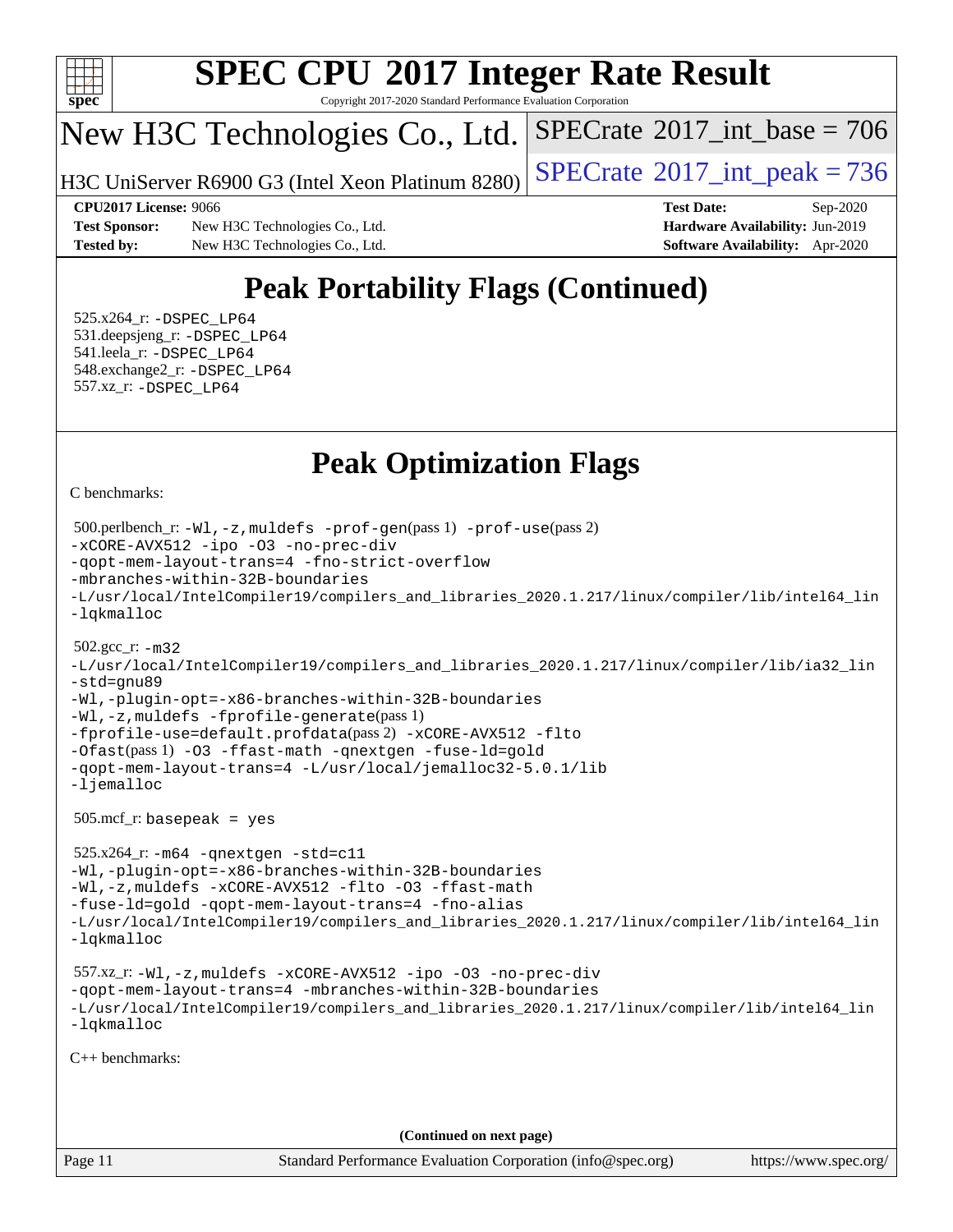

Copyright 2017-2020 Standard Performance Evaluation Corporation

## New H3C Technologies Co., Ltd.

H3C UniServer R6900 G3 (Intel Xeon Platinum  $8280$ ) [SPECrate](http://www.spec.org/auto/cpu2017/Docs/result-fields.html#SPECrate2017intpeak)<sup>®</sup>[2017\\_int\\_peak = 7](http://www.spec.org/auto/cpu2017/Docs/result-fields.html#SPECrate2017intpeak)36

 $SPECTate$ <sup>®</sup>[2017\\_int\\_base =](http://www.spec.org/auto/cpu2017/Docs/result-fields.html#SPECrate2017intbase) 706

**[Test Sponsor:](http://www.spec.org/auto/cpu2017/Docs/result-fields.html#TestSponsor)** New H3C Technologies Co., Ltd. **[Hardware Availability:](http://www.spec.org/auto/cpu2017/Docs/result-fields.html#HardwareAvailability)** Jun-2019 **[Tested by:](http://www.spec.org/auto/cpu2017/Docs/result-fields.html#Testedby)** New H3C Technologies Co., Ltd. **[Software Availability:](http://www.spec.org/auto/cpu2017/Docs/result-fields.html#SoftwareAvailability)** Apr-2020

**[CPU2017 License:](http://www.spec.org/auto/cpu2017/Docs/result-fields.html#CPU2017License)** 9066 **[Test Date:](http://www.spec.org/auto/cpu2017/Docs/result-fields.html#TestDate)** Sep-2020

## **[Peak Portability Flags \(Continued\)](http://www.spec.org/auto/cpu2017/Docs/result-fields.html#PeakPortabilityFlags)**

 525.x264\_r: [-DSPEC\\_LP64](http://www.spec.org/cpu2017/results/res2020q4/cpu2017-20201014-24208.flags.html#suite_peakPORTABILITY525_x264_r_DSPEC_LP64) 531.deepsjeng\_r: [-DSPEC\\_LP64](http://www.spec.org/cpu2017/results/res2020q4/cpu2017-20201014-24208.flags.html#suite_peakPORTABILITY531_deepsjeng_r_DSPEC_LP64) 541.leela\_r: [-DSPEC\\_LP64](http://www.spec.org/cpu2017/results/res2020q4/cpu2017-20201014-24208.flags.html#suite_peakPORTABILITY541_leela_r_DSPEC_LP64) 548.exchange2\_r: [-DSPEC\\_LP64](http://www.spec.org/cpu2017/results/res2020q4/cpu2017-20201014-24208.flags.html#suite_peakPORTABILITY548_exchange2_r_DSPEC_LP64) 557.xz\_r: [-DSPEC\\_LP64](http://www.spec.org/cpu2017/results/res2020q4/cpu2017-20201014-24208.flags.html#suite_peakPORTABILITY557_xz_r_DSPEC_LP64)

## **[Peak Optimization Flags](http://www.spec.org/auto/cpu2017/Docs/result-fields.html#PeakOptimizationFlags)**

[C benchmarks](http://www.spec.org/auto/cpu2017/Docs/result-fields.html#Cbenchmarks):

```
Page 11 Standard Performance Evaluation Corporation (info@spec.org) https://www.spec.org/
  500.perlbench_r: -Wl,-z,muldefs -prof-gen(pass 1) -prof-use(pass 2)
-xCORE-AVX512 -ipo -O3 -no-prec-div
-qopt-mem-layout-trans=4 -fno-strict-overflow
-mbranches-within-32B-boundaries
-L/usr/local/IntelCompiler19/compilers_and_libraries_2020.1.217/linux/compiler/lib/intel64_lin
-lqkmalloc
  502.gcc_r: -m32
-L/usr/local/IntelCompiler19/compilers_and_libraries_2020.1.217/linux/compiler/lib/ia32_lin
-std=gnu89
-Wl,-plugin-opt=-x86-branches-within-32B-boundaries
-Wl,-z,muldefs -fprofile-generate(pass 1)
-fprofile-use=default.profdata(pass 2) -xCORE-AVX512 -flto
-Ofast(pass 1) -O3 -ffast-math -qnextgen -fuse-ld=gold
-qopt-mem-layout-trans=4 -L/usr/local/jemalloc32-5.0.1/lib
-ljemalloc
  505.mcf_r: basepeak = yes
  525.x264_r: -m64 -qnextgen -std=c11
-Wl,-plugin-opt=-x86-branches-within-32B-boundaries
-Wl,-z,muldefs -xCORE-AVX512 -flto -O3 -ffast-math
-fuse-ld=gold -qopt-mem-layout-trans=4 -fno-alias
-L/usr/local/IntelCompiler19/compilers_and_libraries_2020.1.217/linux/compiler/lib/intel64_lin
-lqkmalloc
  557.xz_r: -Wl,-z,muldefs -xCORE-AVX512 -ipo -O3 -no-prec-div
-qopt-mem-layout-trans=4 -mbranches-within-32B-boundaries
-L/usr/local/IntelCompiler19/compilers_and_libraries_2020.1.217/linux/compiler/lib/intel64_lin
-lqkmalloc
C++ benchmarks: 
                                      (Continued on next page)
```